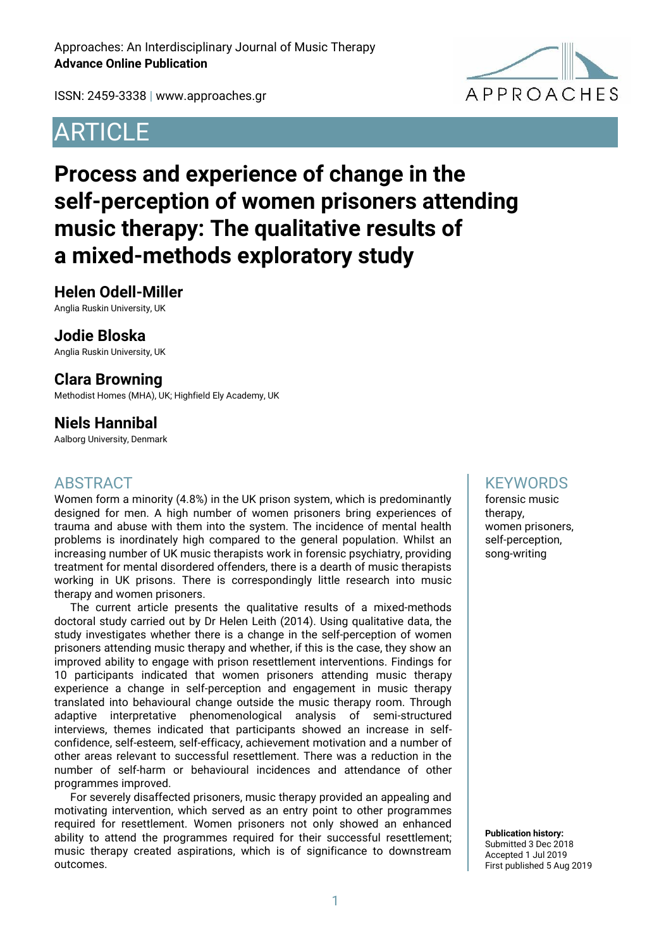**APPROACHES** 

ISSN: 2459-3338 | [www.approaches.gr](http://approaches.gr/)

# **ARTICLE**

# **Process and experience of change in the self-perception of women prisoners attending music therapy: The qualitative results of a mixed-methods exploratory study**

### **Helen Odell-Miller**

Anglia Ruskin University, UK

#### **Jodie Bloska**

Anglia Ruskin University, UK

### **Clara Browning**

Methodist Homes (MHA), UK; Highfield Ely Academy, UK

## **Niels Hannibal**

Aalborg University, Denmark

### ABSTRACT

Women form a minority (4.8%) in the UK prison system, which is predominantly designed for men. A high number of women prisoners bring experiences of trauma and abuse with them into the system. The incidence of mental health problems is inordinately high compared to the general population. Whilst an increasing number of UK music therapists work in forensic psychiatry, providing treatment for mental disordered offenders, there is a dearth of music therapists working in UK prisons. There is correspondingly little research into music therapy and women prisoners.

The current article presents the qualitative results of a mixed-methods doctoral study carried out by Dr Helen Leith (2014). Using qualitative data, the study investigates whether there is a change in the self-perception of women prisoners attending music therapy and whether, if this is the case, they show an improved ability to engage with prison resettlement interventions. Findings for 10 participants indicated that women prisoners attending music therapy experience a change in self-perception and engagement in music therapy translated into behavioural change outside the music therapy room. Through adaptive interpretative phenomenological analysis of semi-structured interviews, themes indicated that participants showed an increase in selfconfidence, self-esteem, self-efficacy, achievement motivation and a number of other areas relevant to successful resettlement. There was a reduction in the number of self-harm or behavioural incidences and attendance of other programmes improved.

For severely disaffected prisoners, music therapy provided an appealing and motivating intervention, which served as an entry point to other programmes required for resettlement. Women prisoners not only showed an enhanced ability to attend the programmes required for their successful resettlement; music therapy created aspirations, which is of significance to downstream outcomes.

### **KEYWORDS**

forensic music therapy, women prisoners, self-perception, song-writing

**Publication history:**  Submitted 3 Dec 2018 Accepted 1 Jul 2019 First published 5 Aug 2019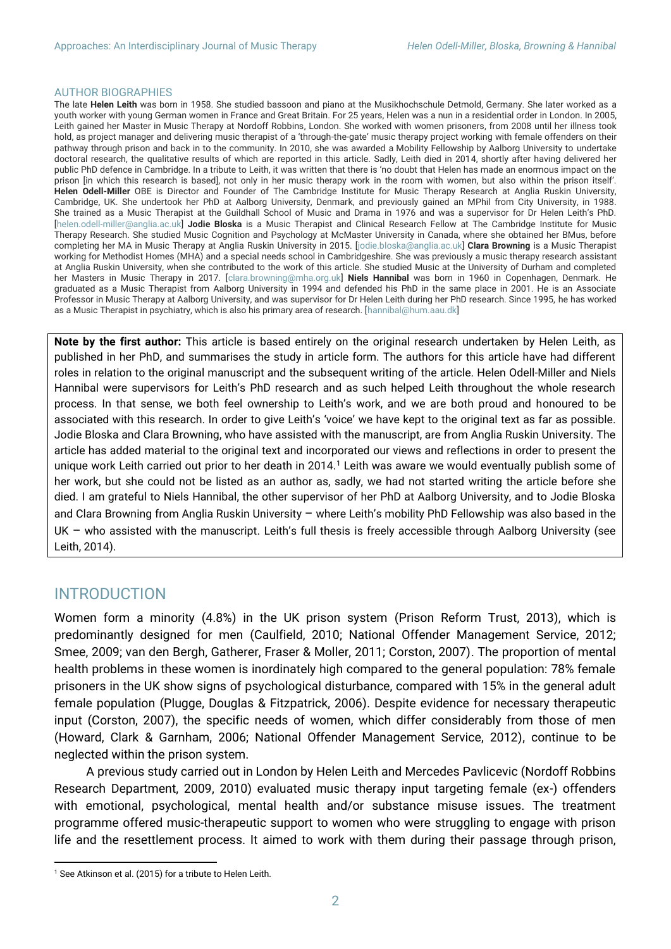#### AUTHOR BIOGRAPHIES

The late **Helen Leith** was born in 1958. She studied bassoon and piano at the Musikhochschule Detmold, Germany. She later worked as a youth worker with young German women in France and Great Britain. For 25 years, Helen was a nun in a residential order in London. In 2005, Leith gained her Master in Music Therapy at Nordoff Robbins, London. She worked with women prisoners, from 2008 until her illness took hold, as project manager and delivering music therapist of a 'through-the-gate' music therapy project working with female offenders on their pathway through prison and back in to the community. In 2010, she was awarded a Mobility Fellowship by Aalborg University to undertake doctoral research, the qualitative results of which are reported in this article. Sadly, Leith died in 2014, shortly after having delivered her public PhD defence in Cambridge. In a tribute to Leith, it was written that there is 'no doubt that Helen has made an enormous impact on the prison [in which this research is based], not only in her music therapy work in the room with women, but also within the prison itself'. **Helen Odell-Miller** OBE is Director and Founder of The Cambridge Institute for Music Therapy Research at Anglia Ruskin University, Cambridge, UK. She undertook her PhD at Aalborg University, Denmark, and previously gained an MPhil from City University, in 1988. She trained as a Music Therapist at the Guildhall School of Music and Drama in 1976 and was a supervisor for Dr Helen Leith's PhD. [helen.odell-miller@anglia.ac.uk] **Jodie Bloska** is a Music Therapist and Clinical Research Fellow at The Cambridge Institute for Music Therapy Research. She studied Music Cognition and Psychology at McMaster University in Canada, where she obtained her BMus, before completing her MA in Music Therapy at Anglia Ruskin University in 2015. [jodie.bloska@anglia.ac.uk] **Clara Browning** is a Music Therapist working for Methodist Homes (MHA) and a special needs school in Cambridgeshire. She was previously a music therapy research assistant at Anglia Ruskin University, when she contributed to the work of this article. She studied Music at the University of Durham and completed her Masters in Music Therapy in 2017. [clara.browning@mha.org.uk] **Niels Hannibal** was born in 1960 in Copenhagen, Denmark. He graduated as a Music Therapist from Aalborg University in 1994 and defended his PhD in the same place in 2001. He is an Associate Professor in Music Therapy at Aalborg University, and was supervisor for Dr Helen Leith during her PhD research. Since 1995, he has worked as a Music Therapist in psychiatry, which is also his primary area of research. [hannibal@hum.aau.dk]

**Note by the first author:** This article is based entirely on the original research undertaken by Helen Leith, as published in her PhD, and summarises the study in article form. The authors for this article have had different roles in relation to the original manuscript and the subsequent writing of the article. Helen Odell-Miller and Niels Hannibal were supervisors for Leith's PhD research and as such helped Leith throughout the whole research process. In that sense, we both feel ownership to Leith's work, and we are both proud and honoured to be associated with this research. In order to give Leith's 'voice' we have kept to the original text as far as possible. Jodie Bloska and Clara Browning, who have assisted with the manuscript, are from Anglia Ruskin University. The article has added material to the original text and incorporated our views and reflections in order to present the unique work Leith carried out prior to her death in 2014.<sup>1</sup> Leith was aware we would eventually publish some of her work, but she could not be listed as an author as, sadly, we had not started writing the article before she died. I am grateful to Niels Hannibal, the other supervisor of her PhD at Aalborg University, and to Jodie Bloska and Clara Browning from Anglia Ruskin University – where Leith's mobility PhD Fellowship was also based in the UK – who assisted with the manuscript. Leith's full thesis is freely accessible through Aalborg University (see Leith, 2014).

### INTRODUCTION

 $\overline{a}$ 

Women form a minority (4.8%) in the UK prison system (Prison Reform Trust, 2013), which is predominantly designed for men (Caulfield, 2010; National Offender Management Service, 2012; Smee, 2009; van den Bergh, Gatherer, Fraser & Moller, 2011; Corston, 2007). The proportion of mental health problems in these women is inordinately high compared to the general population: 78% female prisoners in the UK show signs of psychological disturbance, compared with 15% in the general adult female population (Plugge, Douglas & Fitzpatrick, 2006). Despite evidence for necessary therapeutic input (Corston, 2007), the specific needs of women, which differ considerably from those of men (Howard, Clark & Garnham, 2006; National Offender Management Service, 2012), continue to be neglected within the prison system.

A previous study carried out in London by Helen Leith and Mercedes Pavlicevic (Nordoff Robbins Research Department, 2009, 2010) evaluated music therapy input targeting female (ex-) offenders with emotional, psychological, mental health and/or substance misuse issues. The treatment programme offered music-therapeutic support to women who were struggling to engage with prison life and the resettlement process. It aimed to work with them during their passage through prison,

<sup>&</sup>lt;sup>1</sup> See Atkinson et al. (2015) for a tribute to Helen Leith.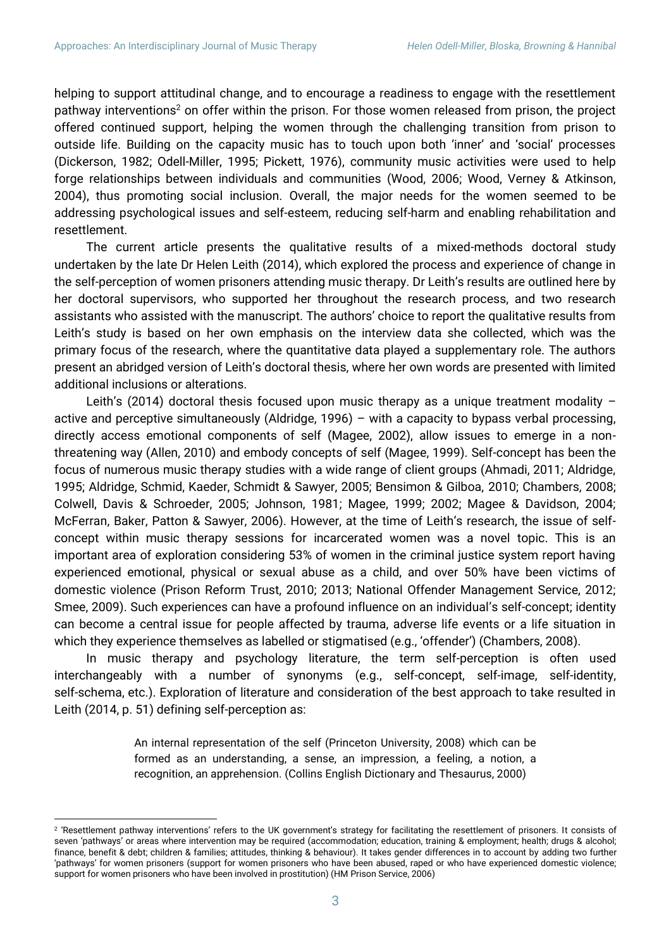$\overline{a}$ 

helping to support attitudinal change, and to encourage a readiness to engage with the resettlement pathway interventions<sup>2</sup> on offer within the prison. For those women released from prison, the project offered continued support, helping the women through the challenging transition from prison to outside life. Building on the capacity music has to touch upon both 'inner' and 'social' processes (Dickerson, 1982; Odell-Miller, 1995; Pickett, 1976), community music activities were used to help forge relationships between individuals and communities (Wood, 2006; Wood, Verney & Atkinson, 2004), thus promoting social inclusion. Overall, the major needs for the women seemed to be addressing psychological issues and self-esteem, reducing self-harm and enabling rehabilitation and resettlement.

The current article presents the qualitative results of a mixed-methods doctoral study undertaken by the late Dr Helen Leith (2014), which explored the process and experience of change in the self-perception of women prisoners attending music therapy. Dr Leith's results are outlined here by her doctoral supervisors, who supported her throughout the research process, and two research assistants who assisted with the manuscript. The authors' choice to report the qualitative results from Leith's study is based on her own emphasis on the interview data she collected, which was the primary focus of the research, where the quantitative data played a supplementary role. The authors present an abridged version of Leith's doctoral thesis, where her own words are presented with limited additional inclusions or alterations.

Leith's (2014) doctoral thesis focused upon music therapy as a unique treatment modality  $$ active and perceptive simultaneously (Aldridge, 1996) – with a capacity to bypass verbal processing, directly access emotional components of self (Magee, 2002), allow issues to emerge in a nonthreatening way (Allen, 2010) and embody concepts of self (Magee, 1999). Self-concept has been the focus of numerous music therapy studies with a wide range of client groups (Ahmadi, 2011; Aldridge, 1995; Aldridge, Schmid, Kaeder, Schmidt & Sawyer, 2005; Bensimon & Gilboa, 2010; Chambers, 2008; Colwell, Davis & Schroeder, 2005; Johnson, 1981; Magee, 1999; 2002; Magee & Davidson, 2004; McFerran, Baker, Patton & Sawyer, 2006). However, at the time of Leith's research, the issue of selfconcept within music therapy sessions for incarcerated women was a novel topic. This is an important area of exploration considering 53% of women in the criminal justice system report having experienced emotional, physical or sexual abuse as a child, and over 50% have been victims of domestic violence (Prison Reform Trust, 2010; 2013; National Offender Management Service, 2012; Smee, 2009). Such experiences can have a profound influence on an individual's self-concept; identity can become a central issue for people affected by trauma, adverse life events or a life situation in which they experience themselves as labelled or stigmatised (e.g., 'offender') (Chambers, 2008).

In music therapy and psychology literature, the term self-perception is often used interchangeably with a number of synonyms (e.g., self-concept, self-image, self-identity, self-schema, etc.). Exploration of literature and consideration of the best approach to take resulted in Leith (2014, p. 51) defining self-perception as:

> An internal representation of the self (Princeton University, 2008) which can be formed as an understanding, a sense, an impression, a feeling, a notion, a recognition, an apprehension. (Collins English Dictionary and Thesaurus, 2000)

<sup>2</sup> 'Resettlement pathway interventions' refers to the UK government's strategy for facilitating the resettlement of prisoners. It consists of seven 'pathways' or areas where intervention may be required (accommodation; education, training & employment; health; drugs & alcohol; finance, benefit & debt; children & families; attitudes, thinking & behaviour). It takes gender differences in to account by adding two further 'pathways' for women prisoners (support for women prisoners who have been abused, raped or who have experienced domestic violence; support for women prisoners who have been involved in prostitution) (HM Prison Service, 2006)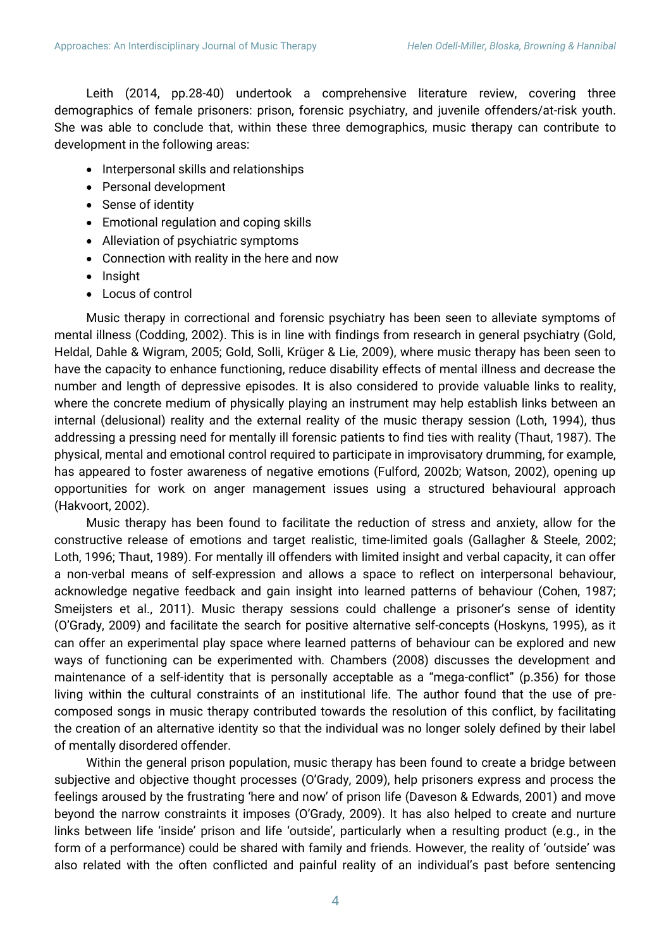Leith (2014, pp.28-40) undertook a comprehensive literature review, covering three demographics of female prisoners: prison, forensic psychiatry, and juvenile offenders/at-risk youth. She was able to conclude that, within these three demographics, music therapy can contribute to development in the following areas:

- Interpersonal skills and relationships
- Personal development
- Sense of identity
- Emotional regulation and coping skills
- Alleviation of psychiatric symptoms
- Connection with reality in the here and now
- Insight
- Locus of control

Music therapy in correctional and forensic psychiatry has been seen to alleviate symptoms of mental illness (Codding, 2002). This is in line with findings from research in general psychiatry (Gold, Heldal, Dahle & Wigram, 2005; Gold, Solli, Krüger & Lie, 2009), where music therapy has been seen to have the capacity to enhance functioning, reduce disability effects of mental illness and decrease the number and length of depressive episodes. It is also considered to provide valuable links to reality, where the concrete medium of physically playing an instrument may help establish links between an internal (delusional) reality and the external reality of the music therapy session (Loth, 1994), thus addressing a pressing need for mentally ill forensic patients to find ties with reality (Thaut, 1987). The physical, mental and emotional control required to participate in improvisatory drumming, for example, has appeared to foster awareness of negative emotions (Fulford, 2002b; Watson, 2002), opening up opportunities for work on anger management issues using a structured behavioural approach (Hakvoort, 2002).

Music therapy has been found to facilitate the reduction of stress and anxiety, allow for the constructive release of emotions and target realistic, time-limited goals (Gallagher & Steele, 2002; Loth, 1996; Thaut, 1989). For mentally ill offenders with limited insight and verbal capacity, it can offer a non-verbal means of self-expression and allows a space to reflect on interpersonal behaviour, acknowledge negative feedback and gain insight into learned patterns of behaviour (Cohen, 1987; Smeijsters et al., 2011). Music therapy sessions could challenge a prisoner's sense of identity (O'Grady, 2009) and facilitate the search for positive alternative self-concepts (Hoskyns, 1995), as it can offer an experimental play space where learned patterns of behaviour can be explored and new ways of functioning can be experimented with. Chambers (2008) discusses the development and maintenance of a self-identity that is personally acceptable as a "mega-conflict" (p.356) for those living within the cultural constraints of an institutional life. The author found that the use of precomposed songs in music therapy contributed towards the resolution of this conflict, by facilitating the creation of an alternative identity so that the individual was no longer solely defined by their label of mentally disordered offender.

Within the general prison population, music therapy has been found to create a bridge between subjective and objective thought processes (O'Grady, 2009), help prisoners express and process the feelings aroused by the frustrating 'here and now' of prison life (Daveson & Edwards, 2001) and move beyond the narrow constraints it imposes (O'Grady, 2009). It has also helped to create and nurture links between life 'inside' prison and life 'outside', particularly when a resulting product (e.g., in the form of a performance) could be shared with family and friends. However, the reality of 'outside' was also related with the often conflicted and painful reality of an individual's past before sentencing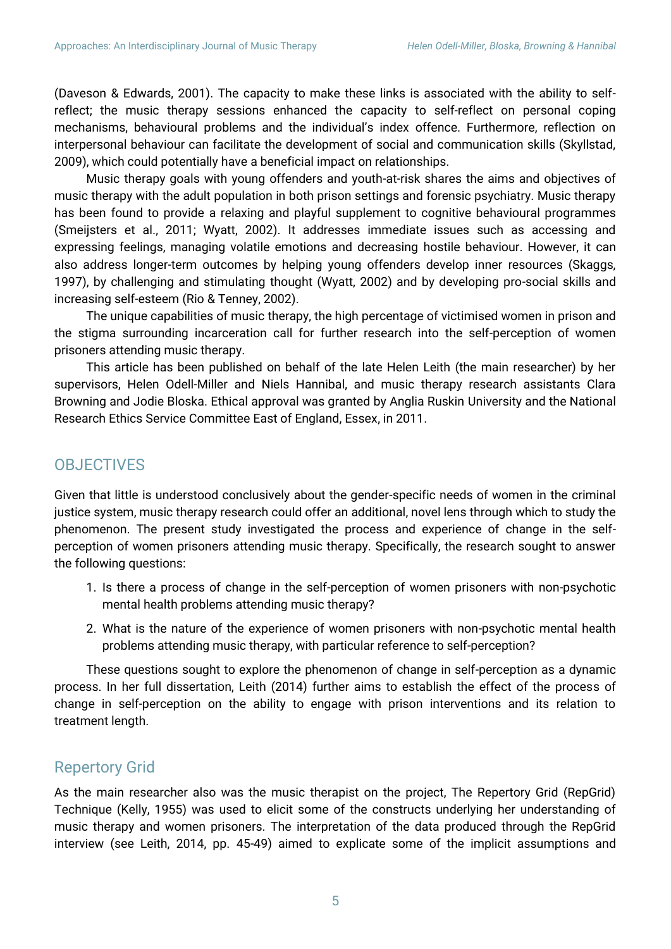(Daveson & Edwards, 2001). The capacity to make these links is associated with the ability to selfreflect; the music therapy sessions enhanced the capacity to self-reflect on personal coping mechanisms, behavioural problems and the individual's index offence. Furthermore, reflection on interpersonal behaviour can facilitate the development of social and communication skills (Skyllstad, 2009), which could potentially have a beneficial impact on relationships.

Music therapy goals with young offenders and youth-at-risk shares the aims and objectives of music therapy with the adult population in both prison settings and forensic psychiatry. Music therapy has been found to provide a relaxing and playful supplement to cognitive behavioural programmes (Smeijsters et al., 2011; Wyatt, 2002). It addresses immediate issues such as accessing and expressing feelings, managing volatile emotions and decreasing hostile behaviour. However, it can also address longer-term outcomes by helping young offenders develop inner resources (Skaggs, 1997), by challenging and stimulating thought (Wyatt, 2002) and by developing pro-social skills and increasing self-esteem (Rio & Tenney, 2002).

The unique capabilities of music therapy, the high percentage of victimised women in prison and the stigma surrounding incarceration call for further research into the self-perception of women prisoners attending music therapy.

This article has been published on behalf of the late Helen Leith (the main researcher) by her supervisors, Helen Odell-Miller and Niels Hannibal, and music therapy research assistants Clara Browning and Jodie Bloska. Ethical approval was granted by Anglia Ruskin University and the National Research Ethics Service Committee East of England, Essex, in 2011.

# **OBJECTIVES**

Given that little is understood conclusively about the gender-specific needs of women in the criminal justice system, music therapy research could offer an additional, novel lens through which to study the phenomenon. The present study investigated the process and experience of change in the selfperception of women prisoners attending music therapy. Specifically, the research sought to answer the following questions:

- 1. Is there a process of change in the self-perception of women prisoners with non-psychotic mental health problems attending music therapy?
- 2. What is the nature of the experience of women prisoners with non-psychotic mental health problems attending music therapy, with particular reference to self-perception?

These questions sought to explore the phenomenon of change in self-perception as a dynamic process. In her full dissertation, Leith (2014) further aims to establish the effect of the process of change in self-perception on the ability to engage with prison interventions and its relation to treatment length.

# Repertory Grid

As the main researcher also was the music therapist on the project, The Repertory Grid (RepGrid) Technique (Kelly, 1955) was used to elicit some of the constructs underlying her understanding of music therapy and women prisoners. The interpretation of the data produced through the RepGrid interview (see Leith, 2014, pp. 45-49) aimed to explicate some of the implicit assumptions and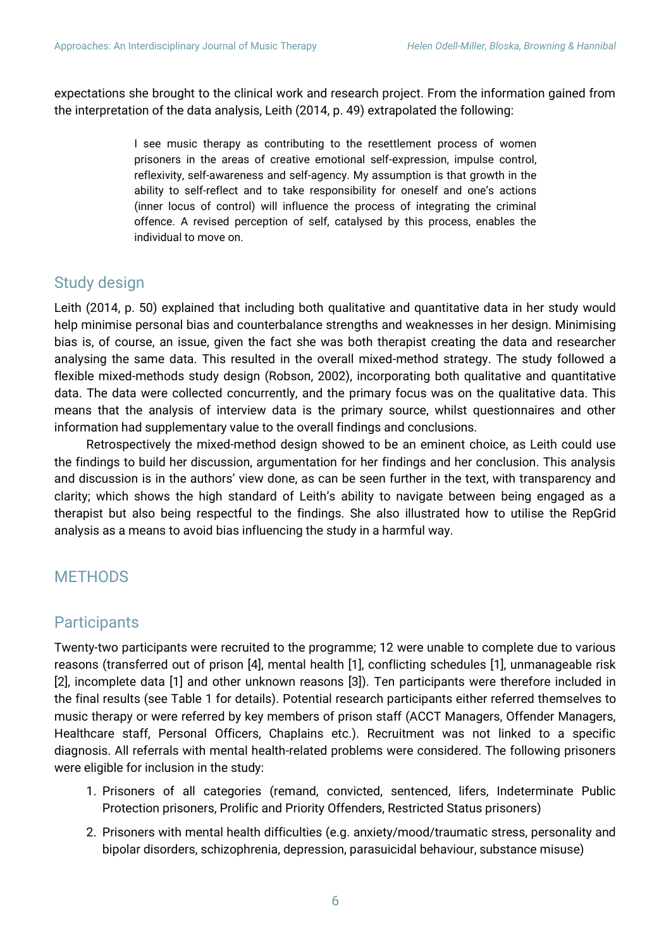expectations she brought to the clinical work and research project. From the information gained from the interpretation of the data analysis, Leith (2014, p. 49) extrapolated the following:

> I see music therapy as contributing to the resettlement process of women prisoners in the areas of creative emotional self-expression, impulse control, reflexivity, self-awareness and self-agency. My assumption is that growth in the ability to self-reflect and to take responsibility for oneself and one's actions (inner locus of control) will influence the process of integrating the criminal offence. A revised perception of self, catalysed by this process, enables the individual to move on.

# Study design

Leith (2014, p. 50) explained that including both qualitative and quantitative data in her study would help minimise personal bias and counterbalance strengths and weaknesses in her design. Minimising bias is, of course, an issue, given the fact she was both therapist creating the data and researcher analysing the same data. This resulted in the overall mixed-method strategy. The study followed a flexible mixed-methods study design (Robson, 2002), incorporating both qualitative and quantitative data. The data were collected concurrently, and the primary focus was on the qualitative data. This means that the analysis of interview data is the primary source, whilst questionnaires and other information had supplementary value to the overall findings and conclusions.

Retrospectively the mixed-method design showed to be an eminent choice, as Leith could use the findings to build her discussion, argumentation for her findings and her conclusion. This analysis and discussion is in the authors' view done, as can be seen further in the text, with transparency and clarity; which shows the high standard of Leith's ability to navigate between being engaged as a therapist but also being respectful to the findings. She also illustrated how to utilise the RepGrid analysis as a means to avoid bias influencing the study in a harmful way.

# **METHODS**

# **Participants**

Twenty-two participants were recruited to the programme; 12 were unable to complete due to various reasons (transferred out of prison [4], mental health [1], conflicting schedules [1], unmanageable risk [2], incomplete data [1] and other unknown reasons [3]). Ten participants were therefore included in the final results (see Table 1 for details). Potential research participants either referred themselves to music therapy or were referred by key members of prison staff (ACCT Managers, Offender Managers, Healthcare staff, Personal Officers, Chaplains etc.). Recruitment was not linked to a specific diagnosis. All referrals with mental health-related problems were considered. The following prisoners were eligible for inclusion in the study:

- 1. Prisoners of all categories (remand, convicted, sentenced, lifers, Indeterminate Public Protection prisoners, Prolific and Priority Offenders, Restricted Status prisoners)
- 2. Prisoners with mental health difficulties (e.g. anxiety/mood/traumatic stress, personality and bipolar disorders, schizophrenia, depression, parasuicidal behaviour, substance misuse)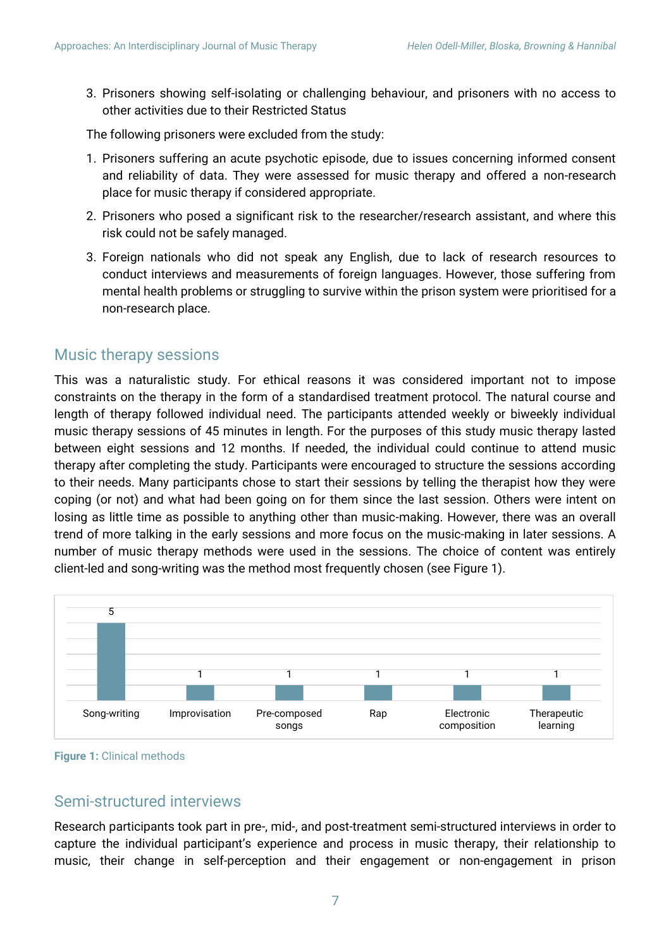3. Prisoners showing self-isolating or challenging behaviour, and prisoners with no access to other activities due to their Restricted Status

The following prisoners were excluded from the study:

- 1. Prisoners suffering an acute psychotic episode, due to issues concerning informed consent and reliability of data. They were assessed for music therapy and offered a non-research place for music therapy if considered appropriate.
- 2. Prisoners who posed a significant risk to the researcher/research assistant, and where this risk could not be safely managed.
- 3. Foreign nationals who did not speak any English, due to lack of research resources to conduct interviews and measurements of foreign languages. However, those suffering from mental health problems or struggling to survive within the prison system were prioritised for a non-research place.

### Music therapy sessions

This was a naturalistic study. For ethical reasons it was considered important not to impose constraints on the therapy in the form of a standardised treatment protocol. The natural course and length of therapy followed individual need. The participants attended weekly or biweekly individual music therapy sessions of 45 minutes in length. For the purposes of this study music therapy lasted between eight sessions and 12 months. If needed, the individual could continue to attend music therapy after completing the study. Participants were encouraged to structure the sessions according to their needs. Many participants chose to start their sessions by telling the therapist how they were coping (or not) and what had been going on for them since the last session. Others were intent on losing as little time as possible to anything other than music-making. However, there was an overall trend of more talking in the early sessions and more focus on the music-making in later sessions. A number of music therapy methods were used in the sessions. The choice of content was entirely client-led and song-writing was the method most frequently chosen (see Figure 1).



**Figure 1:** Clinical methods

## Semi-structured interviews

Research participants took part in pre-, mid-, and post-treatment semi-structured interviews in order to capture the individual participant's experience and process in music therapy, their relationship to music, their change in self-perception and their engagement or non-engagement in prison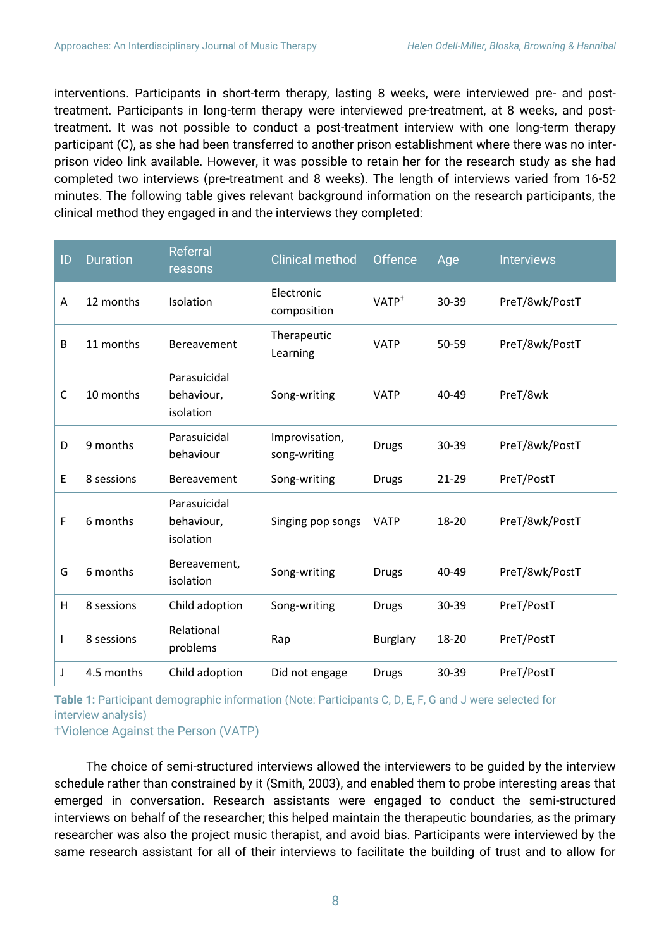interventions. Participants in short-term therapy, lasting 8 weeks, were interviewed pre- and posttreatment. Participants in long-term therapy were interviewed pre-treatment, at 8 weeks, and posttreatment. It was not possible to conduct a post-treatment interview with one long-term therapy participant (C), as she had been transferred to another prison establishment where there was no interprison video link available. However, it was possible to retain her for the research study as she had completed two interviews (pre-treatment and 8 weeks). The length of interviews varied from 16-52 minutes. The following table gives relevant background information on the research participants, the clinical method they engaged in and the interviews they completed:

| ID | <b>Duration</b> | Referral<br>reasons                     | <b>Clinical method</b>         | Offence           | Age       | <b>Interviews</b> |
|----|-----------------|-----------------------------------------|--------------------------------|-------------------|-----------|-------------------|
| A  | 12 months       | Isolation                               | Electronic<br>composition      | VATP <sup>+</sup> | 30-39     | PreT/8wk/PostT    |
| B  | 11 months       | Bereavement                             | Therapeutic<br>Learning        | <b>VATP</b>       | 50-59     | PreT/8wk/PostT    |
| C  | 10 months       | Parasuicidal<br>behaviour,<br>isolation | Song-writing                   | <b>VATP</b>       | 40-49     | PreT/8wk          |
| D  | 9 months        | Parasuicidal<br>behaviour               | Improvisation,<br>song-writing | <b>Drugs</b>      | 30-39     | PreT/8wk/PostT    |
| E  | 8 sessions      | Bereavement                             | Song-writing                   | <b>Drugs</b>      | $21 - 29$ | PreT/PostT        |
| F  | 6 months        | Parasuicidal<br>behaviour,<br>isolation | Singing pop songs              | <b>VATP</b>       | 18-20     | PreT/8wk/PostT    |
| G  | 6 months        | Bereavement,<br>isolation               | Song-writing                   | <b>Drugs</b>      | 40-49     | PreT/8wk/PostT    |
| н  | 8 sessions      | Child adoption                          | Song-writing                   | <b>Drugs</b>      | 30-39     | PreT/PostT        |
| L  | 8 sessions      | Relational<br>problems                  | Rap                            | <b>Burglary</b>   | 18-20     | PreT/PostT        |
| J  | 4.5 months      | Child adoption                          | Did not engage                 | <b>Drugs</b>      | 30-39     | PreT/PostT        |

**Table 1:** Participant demographic information (Note: Participants C, D, E, F, G and J were selected for interview analysis)

†Violence Against the Person (VATP)

The choice of semi-structured interviews allowed the interviewers to be guided by the interview schedule rather than constrained by it (Smith, 2003), and enabled them to probe interesting areas that emerged in conversation. Research assistants were engaged to conduct the semi-structured interviews on behalf of the researcher; this helped maintain the therapeutic boundaries, as the primary researcher was also the project music therapist, and avoid bias. Participants were interviewed by the same research assistant for all of their interviews to facilitate the building of trust and to allow for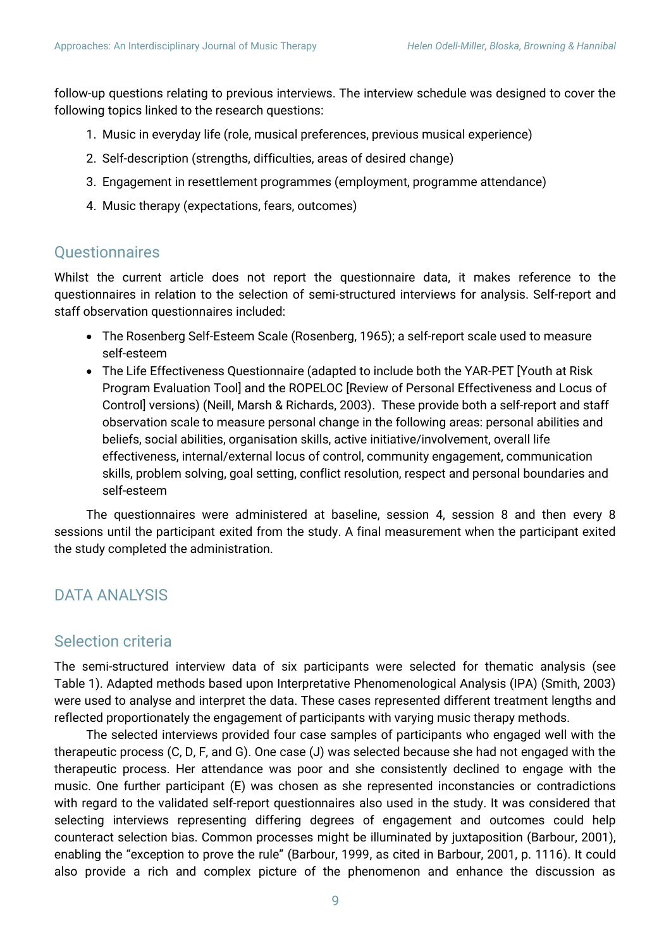follow-up questions relating to previous interviews. The interview schedule was designed to cover the following topics linked to the research questions:

- 1. Music in everyday life (role, musical preferences, previous musical experience)
- 2. Self-description (strengths, difficulties, areas of desired change)
- 3. Engagement in resettlement programmes (employment, programme attendance)
- 4. Music therapy (expectations, fears, outcomes)

## **Questionnaires**

Whilst the current article does not report the questionnaire data, it makes reference to the questionnaires in relation to the selection of semi-structured interviews for analysis. Self-report and staff observation questionnaires included:

- The Rosenberg Self-Esteem Scale (Rosenberg, 1965); a self-report scale used to measure self-esteem
- The Life Effectiveness Questionnaire (adapted to include both the YAR-PET [Youth at Risk Program Evaluation Tool] and the ROPELOC [Review of Personal Effectiveness and Locus of Control] versions) (Neill, Marsh & Richards, 2003). These provide both a self-report and staff observation scale to measure personal change in the following areas: personal abilities and beliefs, social abilities, organisation skills, active initiative/involvement, overall life effectiveness, internal/external locus of control, community engagement, communication skills, problem solving, goal setting, conflict resolution, respect and personal boundaries and self-esteem

The questionnaires were administered at baseline, session 4, session 8 and then every 8 sessions until the participant exited from the study. A final measurement when the participant exited the study completed the administration.

# DATA ANALYSIS

## Selection criteria

The semi-structured interview data of six participants were selected for thematic analysis (see Table 1). Adapted methods based upon Interpretative Phenomenological Analysis (IPA) (Smith, 2003) were used to analyse and interpret the data. These cases represented different treatment lengths and reflected proportionately the engagement of participants with varying music therapy methods.

The selected interviews provided four case samples of participants who engaged well with the therapeutic process (C, D, F, and G). One case (J) was selected because she had not engaged with the therapeutic process. Her attendance was poor and she consistently declined to engage with the music. One further participant (E) was chosen as she represented inconstancies or contradictions with regard to the validated self-report questionnaires also used in the study. It was considered that selecting interviews representing differing degrees of engagement and outcomes could help counteract selection bias. Common processes might be illuminated by juxtaposition (Barbour, 2001), enabling the "exception to prove the rule" (Barbour, 1999, as cited in Barbour, 2001, p. 1116). It could also provide a rich and complex picture of the phenomenon and enhance the discussion as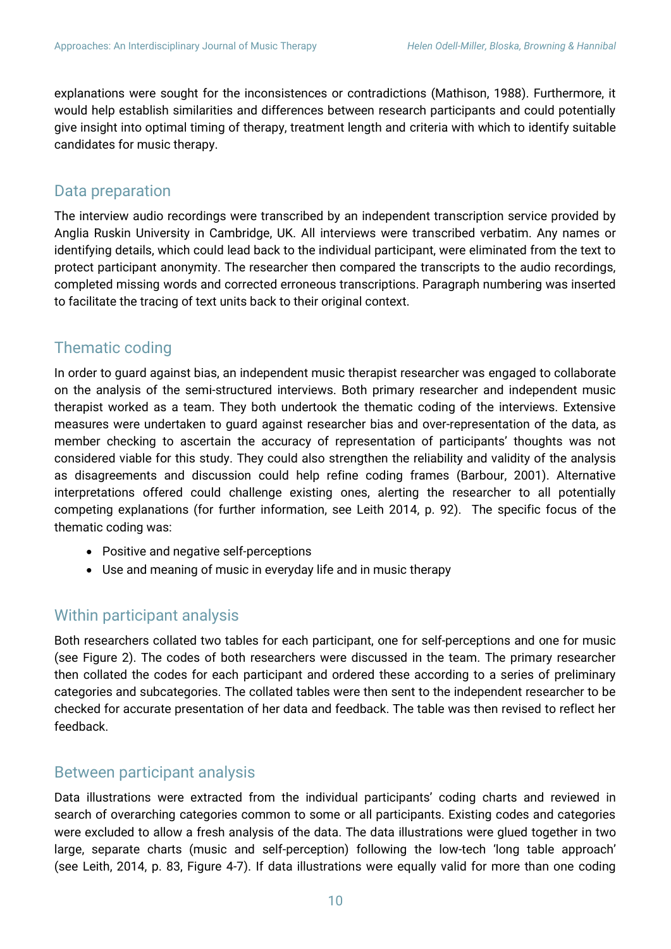explanations were sought for the inconsistences or contradictions (Mathison, 1988). Furthermore, it would help establish similarities and differences between research participants and could potentially give insight into optimal timing of therapy, treatment length and criteria with which to identify suitable candidates for music therapy.

# Data preparation

The interview audio recordings were transcribed by an independent transcription service provided by Anglia Ruskin University in Cambridge, UK. All interviews were transcribed verbatim. Any names or identifying details, which could lead back to the individual participant, were eliminated from the text to protect participant anonymity. The researcher then compared the transcripts to the audio recordings, completed missing words and corrected erroneous transcriptions. Paragraph numbering was inserted to facilitate the tracing of text units back to their original context.

# Thematic coding

In order to guard against bias, an independent music therapist researcher was engaged to collaborate on the analysis of the semi-structured interviews. Both primary researcher and independent music therapist worked as a team. They both undertook the thematic coding of the interviews. Extensive measures were undertaken to guard against researcher bias and over-representation of the data, as member checking to ascertain the accuracy of representation of participants' thoughts was not considered viable for this study. They could also strengthen the reliability and validity of the analysis as disagreements and discussion could help refine coding frames (Barbour, 2001). Alternative interpretations offered could challenge existing ones, alerting the researcher to all potentially competing explanations (for further information, see Leith 2014, p. 92). The specific focus of the thematic coding was:

- Positive and negative self-perceptions
- Use and meaning of music in everyday life and in music therapy

# Within participant analysis

Both researchers collated two tables for each participant, one for self-perceptions and one for music (see Figure 2). The codes of both researchers were discussed in the team. The primary researcher then collated the codes for each participant and ordered these according to a series of preliminary categories and subcategories. The collated tables were then sent to the independent researcher to be checked for accurate presentation of her data and feedback. The table was then revised to reflect her feedback.

# Between participant analysis

Data illustrations were extracted from the individual participants' coding charts and reviewed in search of overarching categories common to some or all participants. Existing codes and categories were excluded to allow a fresh analysis of the data. The data illustrations were glued together in two large, separate charts (music and self-perception) following the low-tech 'long table approach' (see Leith, 2014, p. 83, Figure 4-7). If data illustrations were equally valid for more than one coding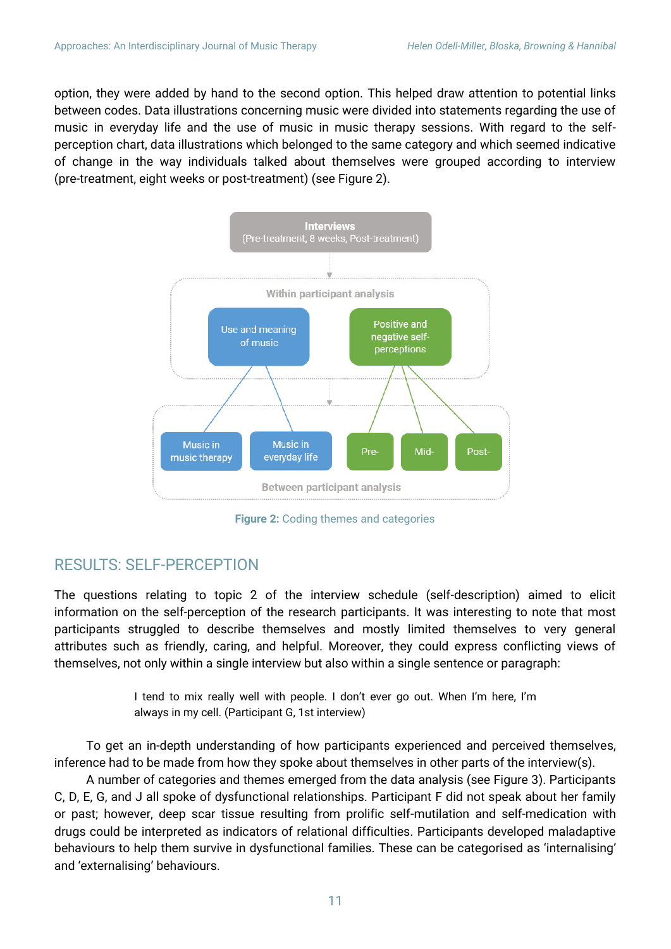option, they were added by hand to the second option. This helped draw attention to potential links between codes. Data illustrations concerning music were divided into statements regarding the use of music in everyday life and the use of music in music therapy sessions. With regard to the selfperception chart, data illustrations which belonged to the same category and which seemed indicative of change in the way individuals talked about themselves were grouped according to interview (pre-treatment, eight weeks or post-treatment) (see Figure 2).



**Figure 2:** Coding themes and categories

# RESULTS: SELF-PERCEPTION

The questions relating to topic 2 of the interview schedule (self-description) aimed to elicit information on the self-perception of the research participants. It was interesting to note that most participants struggled to describe themselves and mostly limited themselves to very general attributes such as friendly, caring, and helpful. Moreover, they could express conflicting views of themselves, not only within a single interview but also within a single sentence or paragraph:

> I tend to mix really well with people. I don't ever go out. When I'm here, I'm always in my cell. (Participant G, 1st interview)

To get an in-depth understanding of how participants experienced and perceived themselves, inference had to be made from how they spoke about themselves in other parts of the interview(s).

A number of categories and themes emerged from the data analysis (see Figure 3). Participants C, D, E, G, and J all spoke of dysfunctional relationships. Participant F did not speak about her family or past; however, deep scar tissue resulting from prolific self-mutilation and self-medication with drugs could be interpreted as indicators of relational difficulties. Participants developed maladaptive behaviours to help them survive in dysfunctional families. These can be categorised as 'internalising' and 'externalising' behaviours.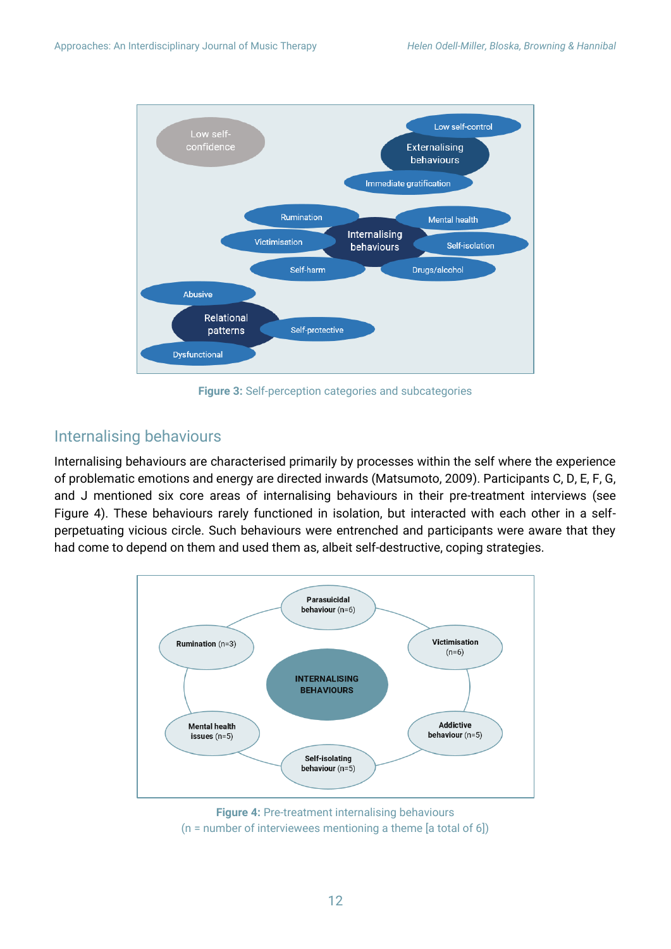

**Figure 3:** Self-perception categories and subcategories

# Internalising behaviours

Internalising behaviours are characterised primarily by processes within the self where the experience of problematic emotions and energy are directed inwards (Matsumoto, 2009). Participants C, D, E, F, G, and J mentioned six core areas of internalising behaviours in their pre-treatment interviews (see Figure 4). These behaviours rarely functioned in isolation, but interacted with each other in a selfperpetuating vicious circle. Such behaviours were entrenched and participants were aware that they had come to depend on them and used them as, albeit self-destructive, coping strategies.



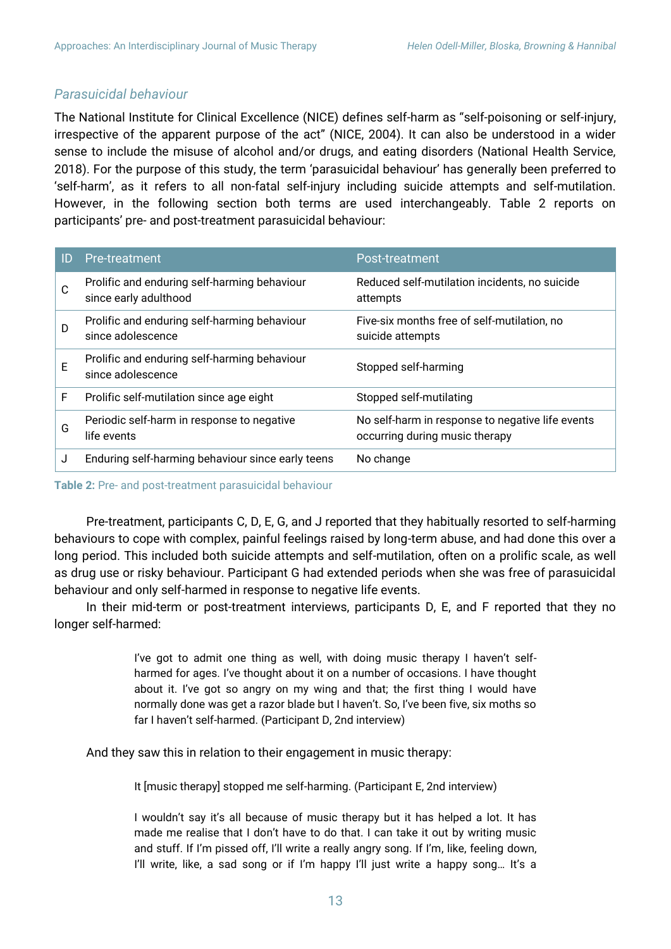### *Parasuicidal behaviour*

The National Institute for Clinical Excellence (NICE) defines self-harm as "self-poisoning or self-injury, irrespective of the apparent purpose of the act" (NICE, 2004). It can also be understood in a wider sense to include the misuse of alcohol and/or drugs, and eating disorders (National Health Service, 2018). For the purpose of this study, the term 'parasuicidal behaviour' has generally been preferred to 'self-harm', as it refers to all non-fatal self-injury including suicide attempts and self-mutilation. However, in the following section both terms are used interchangeably. Table 2 reports on participants' pre- and post-treatment parasuicidal behaviour:

| ID | Pre-treatment                                                         | Post-treatment                                                                     |
|----|-----------------------------------------------------------------------|------------------------------------------------------------------------------------|
| C  | Prolific and enduring self-harming behaviour<br>since early adulthood | Reduced self-mutilation incidents, no suicide<br>attempts                          |
| D  | Prolific and enduring self-harming behaviour<br>since adolescence     | Five-six months free of self-mutilation, no<br>suicide attempts                    |
| E  | Prolific and enduring self-harming behaviour<br>since adolescence     | Stopped self-harming                                                               |
| F  | Prolific self-mutilation since age eight                              | Stopped self-mutilating                                                            |
| G  | Periodic self-harm in response to negative<br>life events             | No self-harm in response to negative life events<br>occurring during music therapy |
|    | Enduring self-harming behaviour since early teens                     | No change                                                                          |

**Table 2:** Pre- and post-treatment parasuicidal behaviour

Pre-treatment, participants C, D, E, G, and J reported that they habitually resorted to self-harming behaviours to cope with complex, painful feelings raised by long-term abuse, and had done this over a long period. This included both suicide attempts and self-mutilation, often on a prolific scale, as well as drug use or risky behaviour. Participant G had extended periods when she was free of parasuicidal behaviour and only self-harmed in response to negative life events.

In their mid-term or post-treatment interviews, participants D, E, and F reported that they no longer self-harmed:

> I've got to admit one thing as well, with doing music therapy I haven't selfharmed for ages. I've thought about it on a number of occasions. I have thought about it. I've got so angry on my wing and that; the first thing I would have normally done was get a razor blade but I haven't. So, I've been five, six moths so far I haven't self-harmed. (Participant D, 2nd interview)

And they saw this in relation to their engagement in music therapy:

It [music therapy] stopped me self-harming. (Participant E, 2nd interview)

I wouldn't say it's all because of music therapy but it has helped a lot. It has made me realise that I don't have to do that. I can take it out by writing music and stuff. If I'm pissed off, I'll write a really angry song. If I'm, like, feeling down, I'll write, like, a sad song or if I'm happy I'll just write a happy song… It's a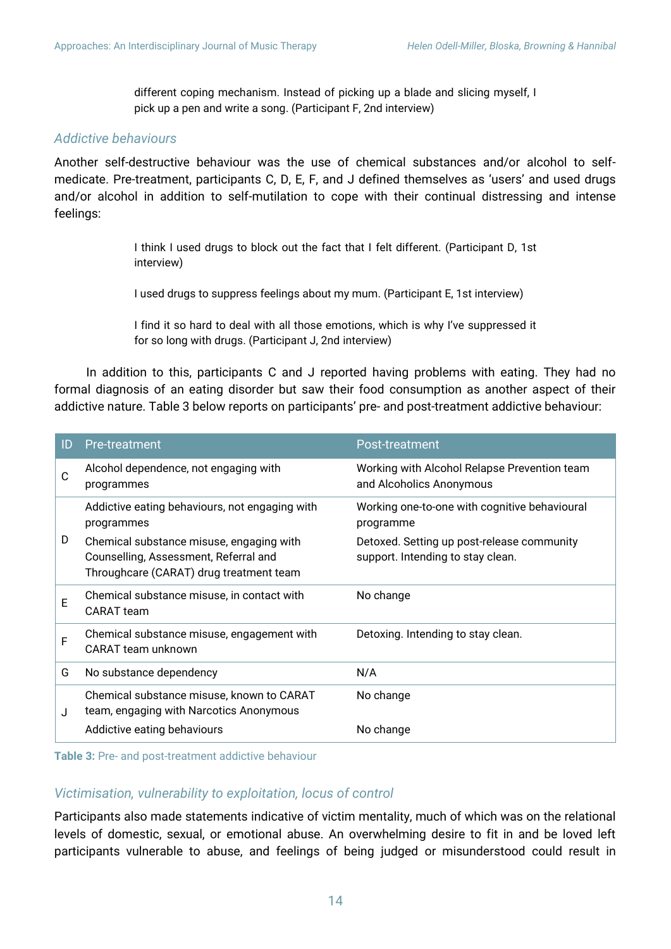different coping mechanism. Instead of picking up a blade and slicing myself, I pick up a pen and write a song. (Participant F, 2nd interview)

#### *Addictive behaviours*

Another self-destructive behaviour was the use of chemical substances and/or alcohol to selfmedicate. Pre-treatment, participants C, D, E, F, and J defined themselves as 'users' and used drugs and/or alcohol in addition to self-mutilation to cope with their continual distressing and intense feelings:

> I think I used drugs to block out the fact that I felt different. (Participant D, 1st interview)

I used drugs to suppress feelings about my mum. (Participant E, 1st interview)

I find it so hard to deal with all those emotions, which is why I've suppressed it for so long with drugs. (Participant J, 2nd interview)

In addition to this, participants C and J reported having problems with eating. They had no formal diagnosis of an eating disorder but saw their food consumption as another aspect of their addictive nature. Table 3 below reports on participants' pre- and post-treatment addictive behaviour:

| ID | Pre-treatment                                                                                                                | Post-treatment                                                                  |
|----|------------------------------------------------------------------------------------------------------------------------------|---------------------------------------------------------------------------------|
| C  | Alcohol dependence, not engaging with<br>programmes                                                                          | Working with Alcohol Relapse Prevention team<br>and Alcoholics Anonymous        |
|    | Addictive eating behaviours, not engaging with<br>programmes                                                                 | Working one-to-one with cognitive behavioural<br>programme                      |
| D  | Chemical substance misuse, engaging with<br>Counselling, Assessment, Referral and<br>Throughcare (CARAT) drug treatment team | Detoxed. Setting up post-release community<br>support. Intending to stay clean. |
| E  | Chemical substance misuse, in contact with<br>CARAT team                                                                     | No change                                                                       |
| F  | Chemical substance misuse, engagement with<br>CARAT team unknown                                                             | Detoxing. Intending to stay clean.                                              |
| G  | No substance dependency                                                                                                      | N/A                                                                             |
| J  | Chemical substance misuse, known to CARAT<br>team, engaging with Narcotics Anonymous                                         | No change                                                                       |
|    | Addictive eating behaviours                                                                                                  | No change                                                                       |

**Table 3:** Pre- and post-treatment addictive behaviour

### *Victimisation, vulnerability to exploitation, locus of control*

Participants also made statements indicative of victim mentality, much of which was on the relational levels of domestic, sexual, or emotional abuse. An overwhelming desire to fit in and be loved left participants vulnerable to abuse, and feelings of being judged or misunderstood could result in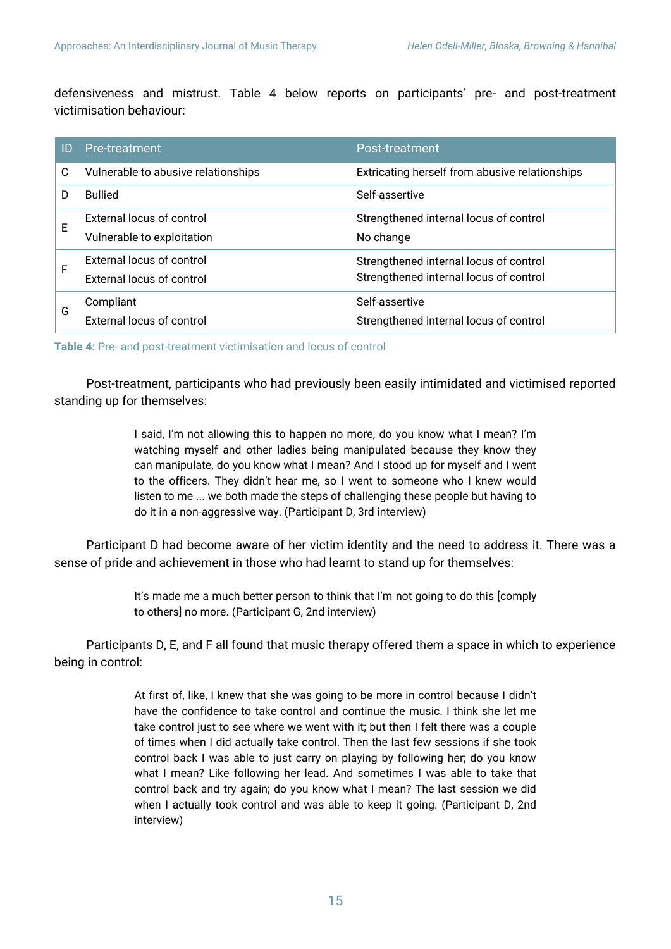defensiveness and mistrust. Table 4 below reports on participants' pre- and post-treatment victimisation behaviour:

| ID | Pre-treatment                       | Post-treatment                                 |  |
|----|-------------------------------------|------------------------------------------------|--|
| C  | Vulnerable to abusive relationships | Extricating herself from abusive relationships |  |
|    | <b>Bullied</b>                      | Self-assertive                                 |  |
| Е  | External locus of control           | Strengthened internal locus of control         |  |
|    | Vulnerable to exploitation          | No change                                      |  |
| F  | External locus of control           | Strengthened internal locus of control         |  |
|    | External locus of control           | Strengthened internal locus of control         |  |
| G  | Compliant                           | Self-assertive                                 |  |
|    | External locus of control           | Strengthened internal locus of control         |  |

**Table 4:** Pre- and post-treatment victimisation and locus of control

Post-treatment, participants who had previously been easily intimidated and victimised reported standing up for themselves:

> I said, I'm not allowing this to happen no more, do you know what I mean? I'm watching myself and other ladies being manipulated because they know they can manipulate, do you know what I mean? And I stood up for myself and I went to the officers. They didn't hear me, so I went to someone who I knew would listen to me ... we both made the steps of challenging these people but having to do it in a non-aggressive way. (Participant D, 3rd interview)

Participant D had become aware of her victim identity and the need to address it. There was a sense of pride and achievement in those who had learnt to stand up for themselves:

> It's made me a much better person to think that I'm not going to do this [comply to others] no more. (Participant G, 2nd interview)

Participants D, E, and F all found that music therapy offered them a space in which to experience being in control:

> At first of, like, I knew that she was going to be more in control because I didn't have the confidence to take control and continue the music. I think she let me take control just to see where we went with it; but then I felt there was a couple of times when I did actually take control. Then the last few sessions if she took control back I was able to just carry on playing by following her; do you know what I mean? Like following her lead. And sometimes I was able to take that control back and try again; do you know what I mean? The last session we did when I actually took control and was able to keep it going. (Participant D, 2nd interview)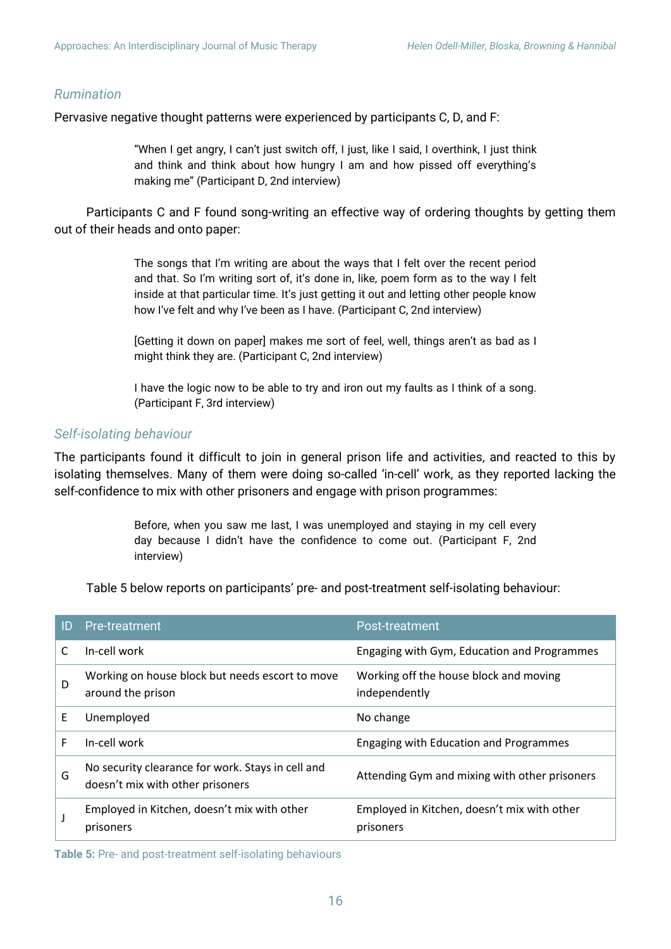#### *Rumination*

Pervasive negative thought patterns were experienced by participants C, D, and F:

"When I get angry, I can't just switch off, I just, like I said, I overthink, I just think and think and think about how hungry I am and how pissed off everything's making me" (Participant D, 2nd interview)

Participants C and F found song-writing an effective way of ordering thoughts by getting them out of their heads and onto paper:

> The songs that I'm writing are about the ways that I felt over the recent period and that. So I'm writing sort of, it's done in, like, poem form as to the way I felt inside at that particular time. It's just getting it out and letting other people know how I've felt and why I've been as I have. (Participant C, 2nd interview)

> [Getting it down on paper] makes me sort of feel, well, things aren't as bad as I might think they are. (Participant C, 2nd interview)

> I have the logic now to be able to try and iron out my faults as I think of a song. (Participant F, 3rd interview)

#### *Self-isolating behaviour*

The participants found it difficult to join in general prison life and activities, and reacted to this by isolating themselves. Many of them were doing so-called 'in-cell' work, as they reported lacking the self-confidence to mix with other prisoners and engage with prison programmes:

> Before, when you saw me last, I was unemployed and staying in my cell every day because I didn't have the confidence to come out. (Participant F, 2nd interview)

Table 5 below reports on participants' pre- and post-treatment self-isolating behaviour:

| ID | Pre-treatment                                                                         | Post-treatment                                           |
|----|---------------------------------------------------------------------------------------|----------------------------------------------------------|
|    | In-cell work                                                                          | Engaging with Gym, Education and Programmes              |
| D  | Working on house block but needs escort to move<br>around the prison                  | Working off the house block and moving<br>independently  |
| E  | Unemployed                                                                            | No change                                                |
| F  | In-cell work                                                                          | Engaging with Education and Programmes                   |
| G  | No security clearance for work. Stays in cell and<br>doesn't mix with other prisoners | Attending Gym and mixing with other prisoners            |
|    | Employed in Kitchen, doesn't mix with other<br>prisoners                              | Employed in Kitchen, doesn't mix with other<br>prisoners |

**Table 5:** Pre- and post-treatment self-isolating behaviours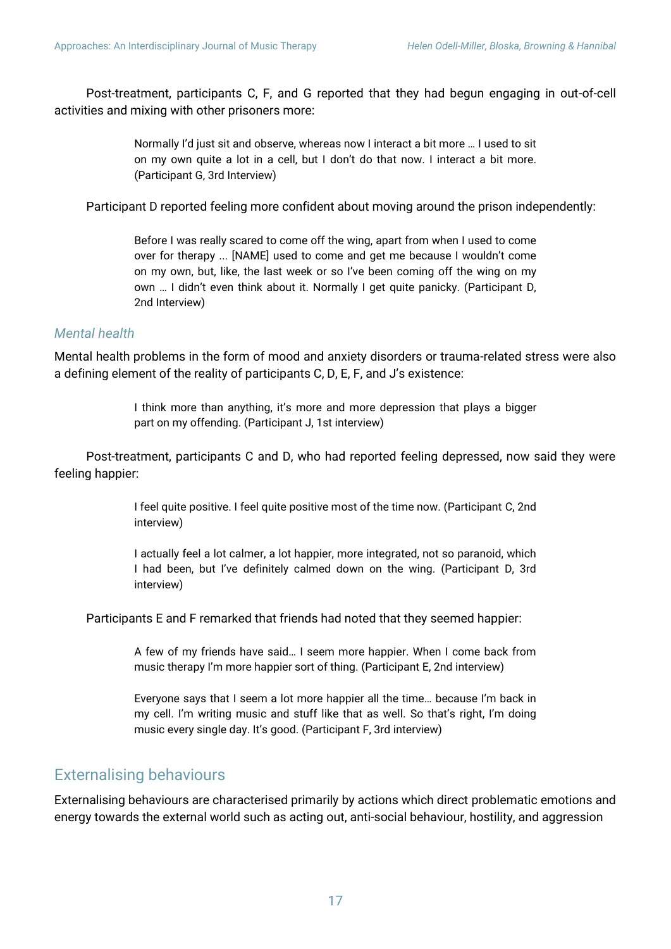Post-treatment, participants C, F, and G reported that they had begun engaging in out-of-cell activities and mixing with other prisoners more:

> Normally I'd just sit and observe, whereas now I interact a bit more … I used to sit on my own quite a lot in a cell, but I don't do that now. I interact a bit more. (Participant G, 3rd Interview)

Participant D reported feeling more confident about moving around the prison independently:

Before I was really scared to come off the wing, apart from when I used to come over for therapy ... [NAME] used to come and get me because I wouldn't come on my own, but, like, the last week or so I've been coming off the wing on my own … I didn't even think about it. Normally I get quite panicky. (Participant D, 2nd Interview)

#### *Mental health*

Mental health problems in the form of mood and anxiety disorders or trauma-related stress were also a defining element of the reality of participants C, D, E, F, and J's existence:

> I think more than anything, it's more and more depression that plays a bigger part on my offending. (Participant J, 1st interview)

Post-treatment, participants C and D, who had reported feeling depressed, now said they were feeling happier:

> I feel quite positive. I feel quite positive most of the time now. (Participant C, 2nd interview)

> I actually feel a lot calmer, a lot happier, more integrated, not so paranoid, which I had been, but I've definitely calmed down on the wing. (Participant D, 3rd interview)

Participants E and F remarked that friends had noted that they seemed happier:

A few of my friends have said… I seem more happier. When I come back from music therapy I'm more happier sort of thing. (Participant E, 2nd interview)

Everyone says that I seem a lot more happier all the time… because I'm back in my cell. I'm writing music and stuff like that as well. So that's right, I'm doing music every single day. It's good. (Participant F, 3rd interview)

## Externalising behaviours

Externalising behaviours are characterised primarily by actions which direct problematic emotions and energy towards the external world such as acting out, anti-social behaviour, hostility, and aggression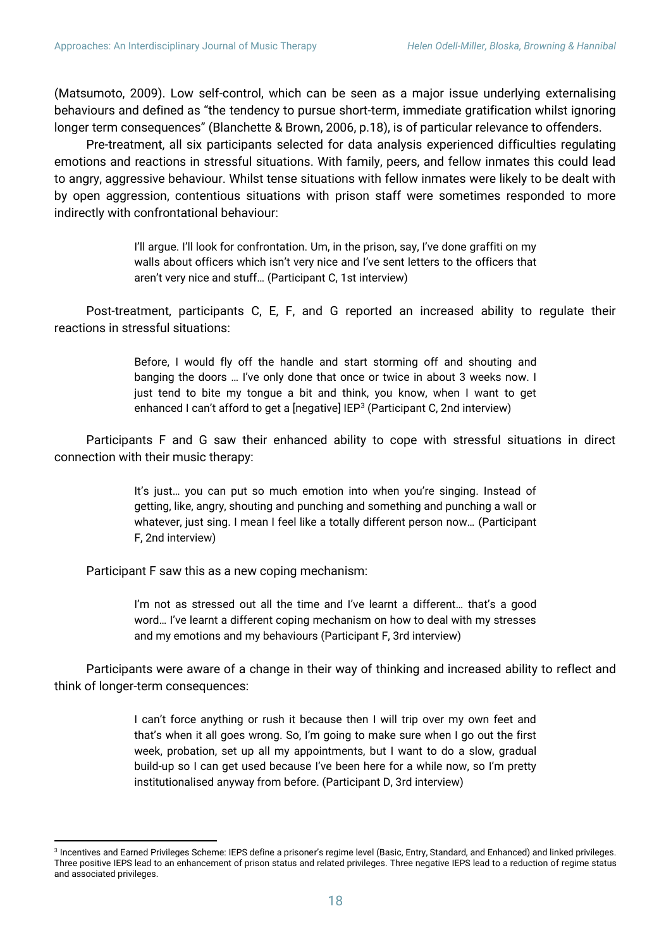(Matsumoto, 2009). Low self-control, which can be seen as a major issue underlying externalising behaviours and defined as "the tendency to pursue short-term, immediate gratification whilst ignoring longer term consequences" (Blanchette & Brown, 2006, p.18), is of particular relevance to offenders.

Pre-treatment, all six participants selected for data analysis experienced difficulties regulating emotions and reactions in stressful situations. With family, peers, and fellow inmates this could lead to angry, aggressive behaviour. Whilst tense situations with fellow inmates were likely to be dealt with by open aggression, contentious situations with prison staff were sometimes responded to more indirectly with confrontational behaviour:

> I'll argue. I'll look for confrontation. Um, in the prison, say, I've done graffiti on my walls about officers which isn't very nice and I've sent letters to the officers that aren't very nice and stuff… (Participant C, 1st interview)

Post-treatment, participants C, E, F, and G reported an increased ability to regulate their reactions in stressful situations:

> Before, I would fly off the handle and start storming off and shouting and banging the doors … I've only done that once or twice in about 3 weeks now. I just tend to bite my tongue a bit and think, you know, when I want to get enhanced I can't afford to get a [negative] IEP<sup>3</sup> (Participant C, 2nd interview)

Participants F and G saw their enhanced ability to cope with stressful situations in direct connection with their music therapy:

> It's just… you can put so much emotion into when you're singing. Instead of getting, like, angry, shouting and punching and something and punching a wall or whatever, just sing. I mean I feel like a totally different person now… (Participant F, 2nd interview)

Participant F saw this as a new coping mechanism:

 $\overline{a}$ 

I'm not as stressed out all the time and I've learnt a different... that's a good word… I've learnt a different coping mechanism on how to deal with my stresses and my emotions and my behaviours (Participant F, 3rd interview)

Participants were aware of a change in their way of thinking and increased ability to reflect and think of longer-term consequences:

> I can't force anything or rush it because then I will trip over my own feet and that's when it all goes wrong. So, I'm going to make sure when I go out the first week, probation, set up all my appointments, but I want to do a slow, gradual build-up so I can get used because I've been here for a while now, so I'm pretty institutionalised anyway from before. (Participant D, 3rd interview)

<sup>3</sup> Incentives and Earned Privileges Scheme: IEPS define a prisoner's regime level (Basic, Entry, Standard, and Enhanced) and linked privileges. Three positive IEPS lead to an enhancement of prison status and related privileges. Three negative IEPS lead to a reduction of regime status and associated privileges.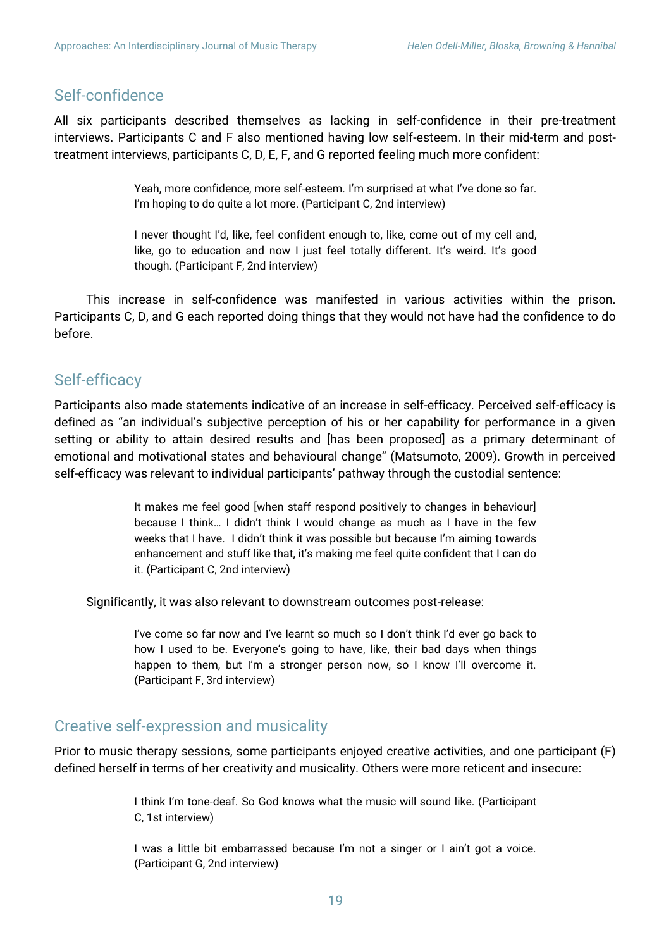# Self-confidence

All six participants described themselves as lacking in self-confidence in their pre-treatment interviews. Participants C and F also mentioned having low self-esteem. In their mid-term and posttreatment interviews, participants C, D, E, F, and G reported feeling much more confident:

> Yeah, more confidence, more self-esteem. I'm surprised at what I've done so far. I'm hoping to do quite a lot more. (Participant C, 2nd interview)

> I never thought I'd, like, feel confident enough to, like, come out of my cell and, like, go to education and now I just feel totally different. It's weird. It's good though. (Participant F, 2nd interview)

This increase in self-confidence was manifested in various activities within the prison. Participants C, D, and G each reported doing things that they would not have had the confidence to do before.

# Self-efficacy

Participants also made statements indicative of an increase in self-efficacy. Perceived self-efficacy is defined as "an individual's subjective perception of his or her capability for performance in a given setting or ability to attain desired results and [has been proposed] as a primary determinant of emotional and motivational states and behavioural change" (Matsumoto, 2009). Growth in perceived self-efficacy was relevant to individual participants' pathway through the custodial sentence:

> It makes me feel good [when staff respond positively to changes in behaviour] because I think… I didn't think I would change as much as I have in the few weeks that I have. I didn't think it was possible but because I'm aiming towards enhancement and stuff like that, it's making me feel quite confident that I can do it. (Participant C, 2nd interview)

Significantly, it was also relevant to downstream outcomes post-release:

I've come so far now and I've learnt so much so I don't think I'd ever go back to how I used to be. Everyone's going to have, like, their bad days when things happen to them, but I'm a stronger person now, so I know I'll overcome it. (Participant F, 3rd interview)

### Creative self-expression and musicality

Prior to music therapy sessions, some participants enjoyed creative activities, and one participant (F) defined herself in terms of her creativity and musicality. Others were more reticent and insecure:

> I think I'm tone-deaf. So God knows what the music will sound like. (Participant C, 1st interview)

> I was a little bit embarrassed because I'm not a singer or I ain't got a voice. (Participant G, 2nd interview)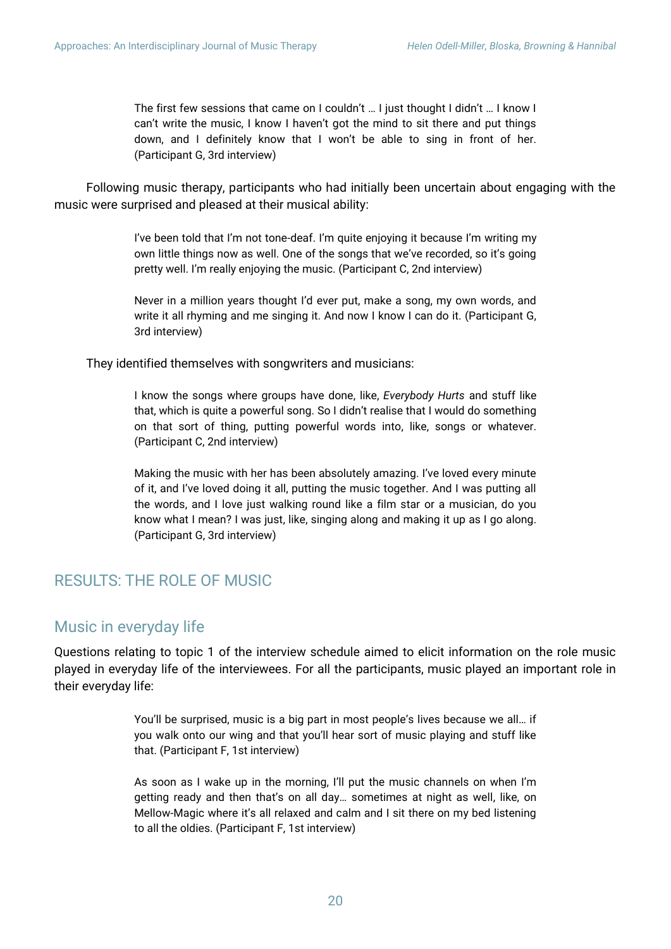The first few sessions that came on I couldn't … I just thought I didn't … I know I can't write the music, I know I haven't got the mind to sit there and put things down, and I definitely know that I won't be able to sing in front of her. (Participant G, 3rd interview)

Following music therapy, participants who had initially been uncertain about engaging with the music were surprised and pleased at their musical ability:

> I've been told that I'm not tone-deaf. I'm quite enjoying it because I'm writing my own little things now as well. One of the songs that we've recorded, so it's going pretty well. I'm really enjoying the music. (Participant C, 2nd interview)

> Never in a million years thought I'd ever put, make a song, my own words, and write it all rhyming and me singing it. And now I know I can do it. (Participant G, 3rd interview)

They identified themselves with songwriters and musicians:

I know the songs where groups have done, like, *Everybody Hurts* and stuff like that, which is quite a powerful song. So I didn't realise that I would do something on that sort of thing, putting powerful words into, like, songs or whatever. (Participant C, 2nd interview)

Making the music with her has been absolutely amazing. I've loved every minute of it, and I've loved doing it all, putting the music together. And I was putting all the words, and I love just walking round like a film star or a musician, do you know what I mean? I was just, like, singing along and making it up as I go along. (Participant G, 3rd interview)

# RESULTS: THE ROLE OF MUSIC

### Music in everyday life

Questions relating to topic 1 of the interview schedule aimed to elicit information on the role music played in everyday life of the interviewees. For all the participants, music played an important role in their everyday life:

> You'll be surprised, music is a big part in most people's lives because we all… if you walk onto our wing and that you'll hear sort of music playing and stuff like that. (Participant F, 1st interview)

> As soon as I wake up in the morning, I'll put the music channels on when I'm getting ready and then that's on all day… sometimes at night as well, like, on Mellow-Magic where it's all relaxed and calm and I sit there on my bed listening to all the oldies. (Participant F, 1st interview)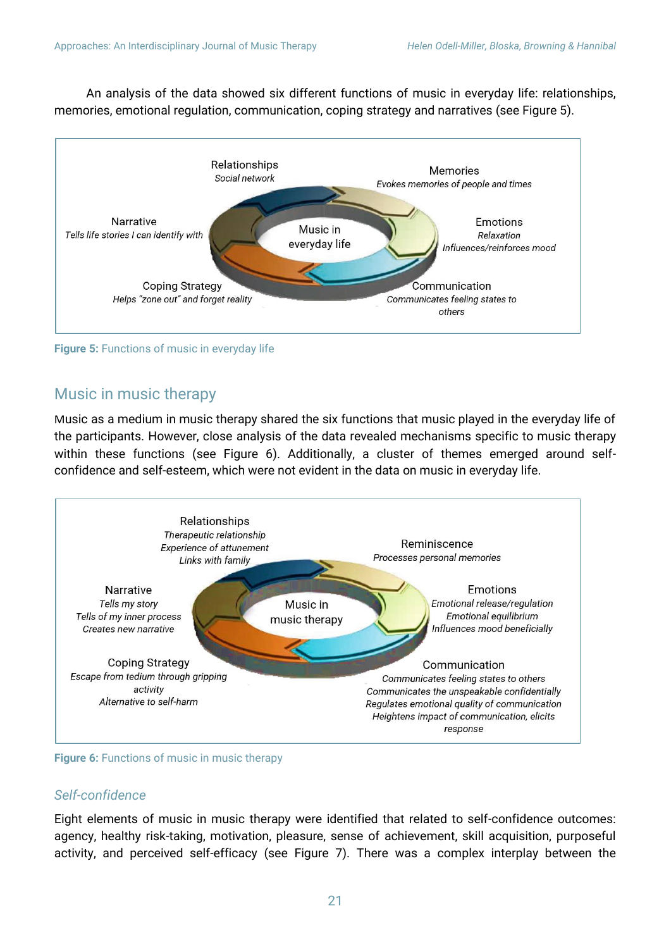An analysis of the data showed six different functions of music in everyday life: relationships, memories, emotional regulation, communication, coping strategy and narratives (see Figure 5).



**Figure 5:** Functions of music in everyday life

# Music in music therapy

Music as a medium in music therapy shared the six functions that music played in the everyday life of the participants. However, close analysis of the data revealed mechanisms specific to music therapy within these functions (see Figure 6). Additionally, a cluster of themes emerged around selfconfidence and self-esteem, which were not evident in the data on music in everyday life.



**Figure 6:** Functions of music in music therapy

### *Self-confidence*

Eight elements of music in music therapy were identified that related to self-confidence outcomes: agency, healthy risk-taking, motivation, pleasure, sense of achievement, skill acquisition, purposeful activity, and perceived self-efficacy (see Figure 7). There was a complex interplay between the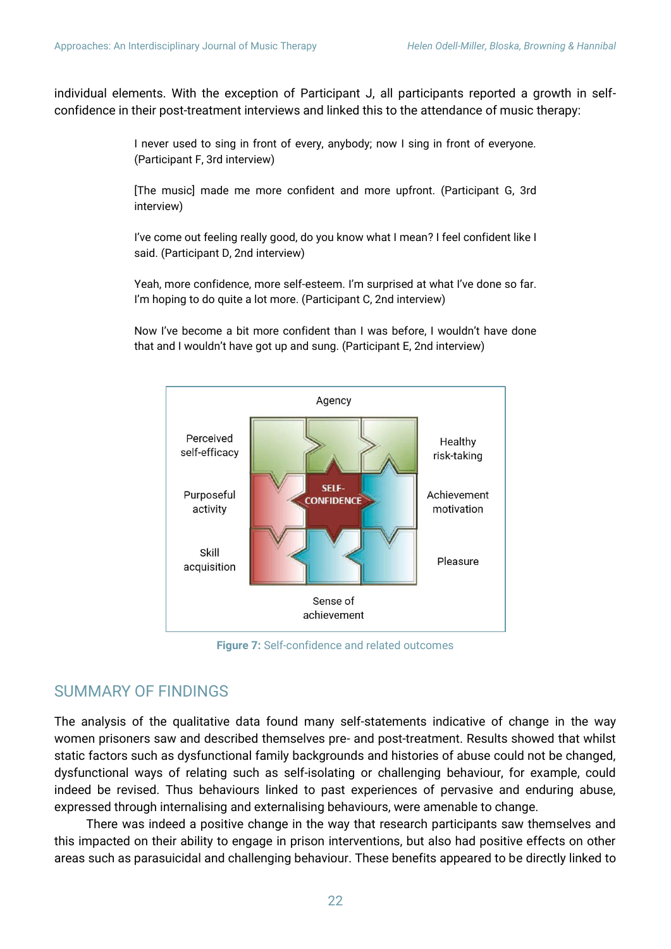individual elements. With the exception of Participant J, all participants reported a growth in selfconfidence in their post-treatment interviews and linked this to the attendance of music therapy:

> I never used to sing in front of every, anybody; now I sing in front of everyone. (Participant F, 3rd interview)

> [The music] made me more confident and more upfront. (Participant G, 3rd interview)

> I've come out feeling really good, do you know what I mean? I feel confident like I said. (Participant D, 2nd interview)

> Yeah, more confidence, more self-esteem. I'm surprised at what I've done so far. I'm hoping to do quite a lot more. (Participant C, 2nd interview)

> Now I've become a bit more confident than I was before, I wouldn't have done that and I wouldn't have got up and sung. (Participant E, 2nd interview)



**Figure 7:** Self-confidence and related outcomes

### SUMMARY OF FINDINGS

The analysis of the qualitative data found many self-statements indicative of change in the way women prisoners saw and described themselves pre- and post-treatment. Results showed that whilst static factors such as dysfunctional family backgrounds and histories of abuse could not be changed, dysfunctional ways of relating such as self-isolating or challenging behaviour, for example, could indeed be revised. Thus behaviours linked to past experiences of pervasive and enduring abuse, expressed through internalising and externalising behaviours, were amenable to change.

There was indeed a positive change in the way that research participants saw themselves and this impacted on their ability to engage in prison interventions, but also had positive effects on other areas such as parasuicidal and challenging behaviour. These benefits appeared to be directly linked to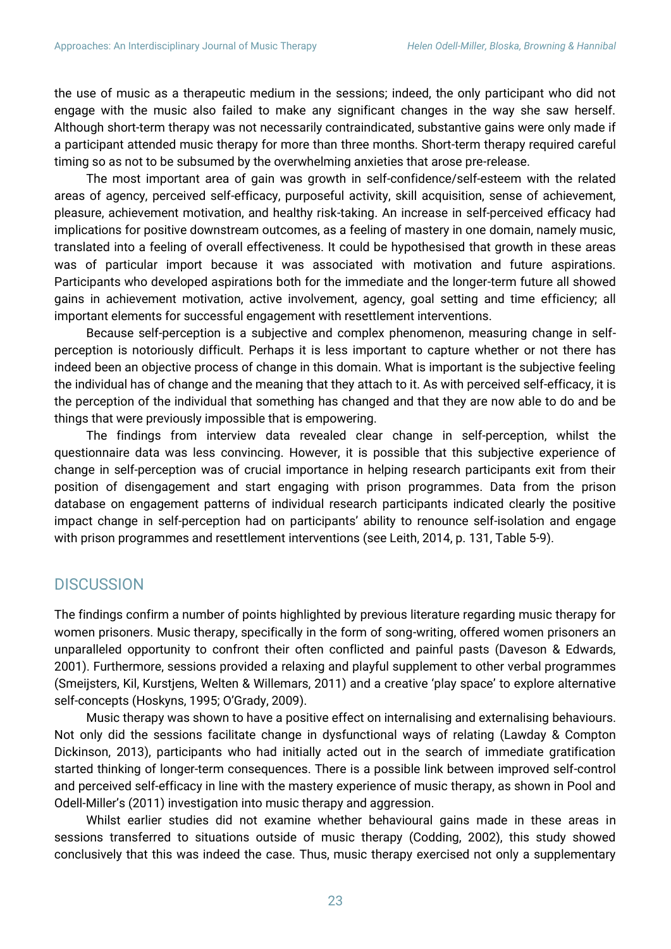the use of music as a therapeutic medium in the sessions; indeed, the only participant who did not engage with the music also failed to make any significant changes in the way she saw herself. Although short-term therapy was not necessarily contraindicated, substantive gains were only made if a participant attended music therapy for more than three months. Short-term therapy required careful timing so as not to be subsumed by the overwhelming anxieties that arose pre-release.

The most important area of gain was growth in self-confidence/self-esteem with the related areas of agency, perceived self-efficacy, purposeful activity, skill acquisition, sense of achievement, pleasure, achievement motivation, and healthy risk-taking. An increase in self-perceived efficacy had implications for positive downstream outcomes, as a feeling of mastery in one domain, namely music, translated into a feeling of overall effectiveness. It could be hypothesised that growth in these areas was of particular import because it was associated with motivation and future aspirations. Participants who developed aspirations both for the immediate and the longer-term future all showed gains in achievement motivation, active involvement, agency, goal setting and time efficiency; all important elements for successful engagement with resettlement interventions.

Because self-perception is a subjective and complex phenomenon, measuring change in selfperception is notoriously difficult. Perhaps it is less important to capture whether or not there has indeed been an objective process of change in this domain. What is important is the subjective feeling the individual has of change and the meaning that they attach to it. As with perceived self-efficacy, it is the perception of the individual that something has changed and that they are now able to do and be things that were previously impossible that is empowering.

The findings from interview data revealed clear change in self-perception, whilst the questionnaire data was less convincing. However, it is possible that this subjective experience of change in self-perception was of crucial importance in helping research participants exit from their position of disengagement and start engaging with prison programmes. Data from the prison database on engagement patterns of individual research participants indicated clearly the positive impact change in self-perception had on participants' ability to renounce self-isolation and engage with prison programmes and resettlement interventions (see Leith, 2014, p. 131, Table 5-9).

## **DISCUSSION**

The findings confirm a number of points highlighted by previous literature regarding music therapy for women prisoners. Music therapy, specifically in the form of song-writing, offered women prisoners an unparalleled opportunity to confront their often conflicted and painful pasts (Daveson & Edwards, 2001). Furthermore, sessions provided a relaxing and playful supplement to other verbal programmes (Smeijsters, Kil, Kurstjens, Welten & Willemars, 2011) and a creative 'play space' to explore alternative self-concepts (Hoskyns, 1995; O'Grady, 2009).

Music therapy was shown to have a positive effect on internalising and externalising behaviours. Not only did the sessions facilitate change in dysfunctional ways of relating (Lawday & Compton Dickinson, 2013), participants who had initially acted out in the search of immediate gratification started thinking of longer-term consequences. There is a possible link between improved self-control and perceived self-efficacy in line with the mastery experience of music therapy, as shown in Pool and Odell-Miller's (2011) investigation into music therapy and aggression.

Whilst earlier studies did not examine whether behavioural gains made in these areas in sessions transferred to situations outside of music therapy (Codding, 2002), this study showed conclusively that this was indeed the case. Thus, music therapy exercised not only a supplementary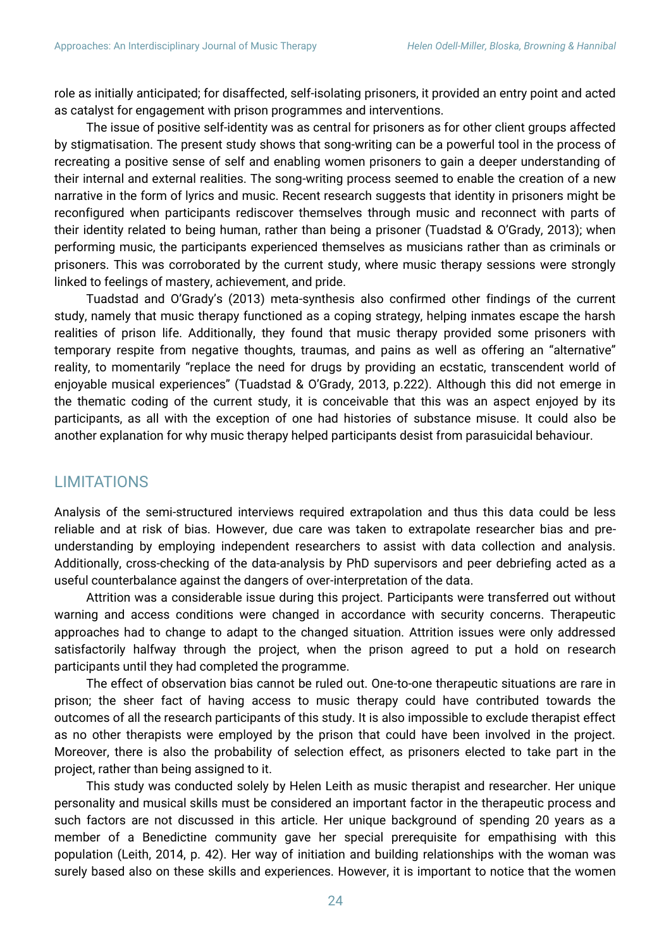role as initially anticipated; for disaffected, self-isolating prisoners, it provided an entry point and acted as catalyst for engagement with prison programmes and interventions.

The issue of positive self-identity was as central for prisoners as for other client groups affected by stigmatisation. The present study shows that song-writing can be a powerful tool in the process of recreating a positive sense of self and enabling women prisoners to gain a deeper understanding of their internal and external realities. The song-writing process seemed to enable the creation of a new narrative in the form of lyrics and music. Recent research suggests that identity in prisoners might be reconfigured when participants rediscover themselves through music and reconnect with parts of their identity related to being human, rather than being a prisoner (Tuadstad & O'Grady, 2013); when performing music, the participants experienced themselves as musicians rather than as criminals or prisoners. This was corroborated by the current study, where music therapy sessions were strongly linked to feelings of mastery, achievement, and pride.

Tuadstad and O'Grady's (2013) meta-synthesis also confirmed other findings of the current study, namely that music therapy functioned as a coping strategy, helping inmates escape the harsh realities of prison life. Additionally, they found that music therapy provided some prisoners with temporary respite from negative thoughts, traumas, and pains as well as offering an "alternative" reality, to momentarily "replace the need for drugs by providing an ecstatic, transcendent world of enjoyable musical experiences" (Tuadstad & O'Grady, 2013, p.222). Although this did not emerge in the thematic coding of the current study, it is conceivable that this was an aspect enjoyed by its participants, as all with the exception of one had histories of substance misuse. It could also be another explanation for why music therapy helped participants desist from parasuicidal behaviour.

# LIMITATIONS

Analysis of the semi-structured interviews required extrapolation and thus this data could be less reliable and at risk of bias. However, due care was taken to extrapolate researcher bias and preunderstanding by employing independent researchers to assist with data collection and analysis. Additionally, cross-checking of the data-analysis by PhD supervisors and peer debriefing acted as a useful counterbalance against the dangers of over-interpretation of the data.

Attrition was a considerable issue during this project. Participants were transferred out without warning and access conditions were changed in accordance with security concerns. Therapeutic approaches had to change to adapt to the changed situation. Attrition issues were only addressed satisfactorily halfway through the project, when the prison agreed to put a hold on research participants until they had completed the programme.

The effect of observation bias cannot be ruled out. One-to-one therapeutic situations are rare in prison; the sheer fact of having access to music therapy could have contributed towards the outcomes of all the research participants of this study. It is also impossible to exclude therapist effect as no other therapists were employed by the prison that could have been involved in the project. Moreover, there is also the probability of selection effect, as prisoners elected to take part in the project, rather than being assigned to it.

This study was conducted solely by Helen Leith as music therapist and researcher. Her unique personality and musical skills must be considered an important factor in the therapeutic process and such factors are not discussed in this article. Her unique background of spending 20 years as a member of a Benedictine community gave her special prerequisite for empathising with this population (Leith, 2014, p. 42). Her way of initiation and building relationships with the woman was surely based also on these skills and experiences. However, it is important to notice that the women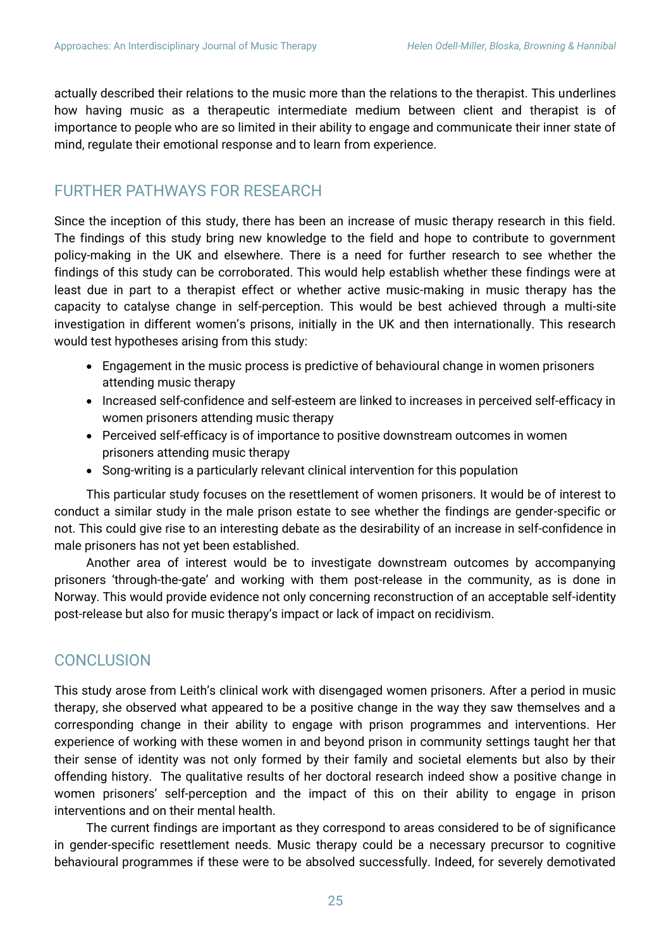actually described their relations to the music more than the relations to the therapist. This underlines how having music as a therapeutic intermediate medium between client and therapist is of importance to people who are so limited in their ability to engage and communicate their inner state of mind, regulate their emotional response and to learn from experience.

# FURTHER PATHWAYS FOR RESEARCH

Since the inception of this study, there has been an increase of music therapy research in this field. The findings of this study bring new knowledge to the field and hope to contribute to government policy-making in the UK and elsewhere. There is a need for further research to see whether the findings of this study can be corroborated. This would help establish whether these findings were at least due in part to a therapist effect or whether active music-making in music therapy has the capacity to catalyse change in self-perception. This would be best achieved through a multi-site investigation in different women's prisons, initially in the UK and then internationally. This research would test hypotheses arising from this study:

- Engagement in the music process is predictive of behavioural change in women prisoners attending music therapy
- Increased self-confidence and self-esteem are linked to increases in perceived self-efficacy in women prisoners attending music therapy
- Perceived self-efficacy is of importance to positive downstream outcomes in women prisoners attending music therapy
- Song-writing is a particularly relevant clinical intervention for this population

This particular study focuses on the resettlement of women prisoners. It would be of interest to conduct a similar study in the male prison estate to see whether the findings are gender-specific or not. This could give rise to an interesting debate as the desirability of an increase in self-confidence in male prisoners has not yet been established.

Another area of interest would be to investigate downstream outcomes by accompanying prisoners 'through-the-gate' and working with them post-release in the community, as is done in Norway. This would provide evidence not only concerning reconstruction of an acceptable self-identity post-release but also for music therapy's impact or lack of impact on recidivism.

# **CONCLUSION**

This study arose from Leith's clinical work with disengaged women prisoners. After a period in music therapy, she observed what appeared to be a positive change in the way they saw themselves and a corresponding change in their ability to engage with prison programmes and interventions. Her experience of working with these women in and beyond prison in community settings taught her that their sense of identity was not only formed by their family and societal elements but also by their offending history. The qualitative results of her doctoral research indeed show a positive change in women prisoners' self-perception and the impact of this on their ability to engage in prison interventions and on their mental health.

The current findings are important as they correspond to areas considered to be of significance in gender-specific resettlement needs. Music therapy could be a necessary precursor to cognitive behavioural programmes if these were to be absolved successfully. Indeed, for severely demotivated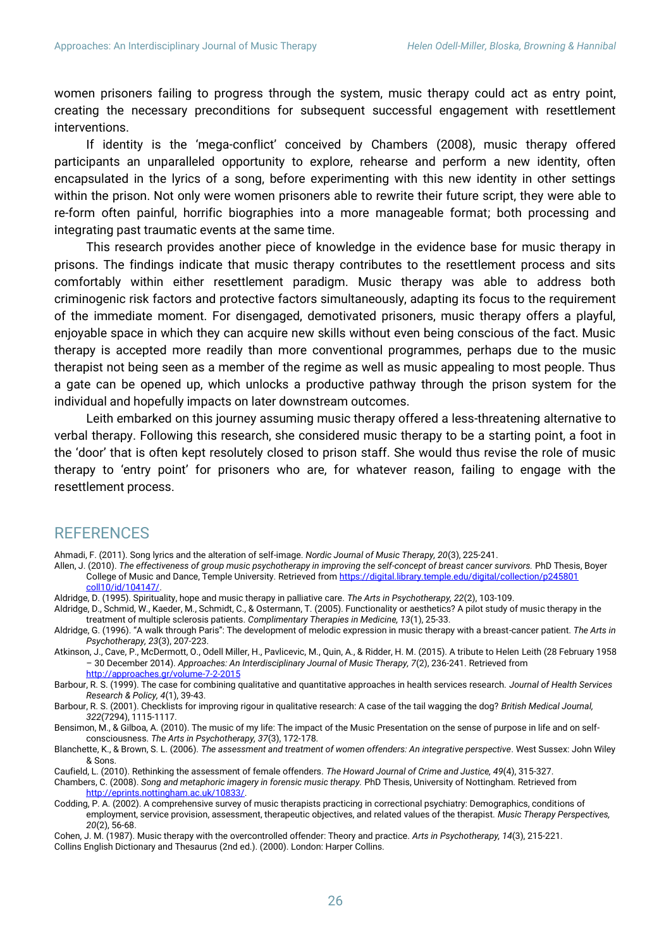women prisoners failing to progress through the system, music therapy could act as entry point, creating the necessary preconditions for subsequent successful engagement with resettlement interventions.

If identity is the 'mega-conflict' conceived by Chambers (2008), music therapy offered participants an unparalleled opportunity to explore, rehearse and perform a new identity, often encapsulated in the lyrics of a song, before experimenting with this new identity in other settings within the prison. Not only were women prisoners able to rewrite their future script, they were able to re-form often painful, horrific biographies into a more manageable format; both processing and integrating past traumatic events at the same time.

This research provides another piece of knowledge in the evidence base for music therapy in prisons. The findings indicate that music therapy contributes to the resettlement process and sits comfortably within either resettlement paradigm. Music therapy was able to address both criminogenic risk factors and protective factors simultaneously, adapting its focus to the requirement of the immediate moment. For disengaged, demotivated prisoners, music therapy offers a playful, enjoyable space in which they can acquire new skills without even being conscious of the fact. Music therapy is accepted more readily than more conventional programmes, perhaps due to the music therapist not being seen as a member of the regime as well as music appealing to most people. Thus a gate can be opened up, which unlocks a productive pathway through the prison system for the individual and hopefully impacts on later downstream outcomes.

Leith embarked on this journey assuming music therapy offered a less-threatening alternative to verbal therapy. Following this research, she considered music therapy to be a starting point, a foot in the 'door' that is often kept resolutely closed to prison staff. She would thus revise the role of music therapy to 'entry point' for prisoners who are, for whatever reason, failing to engage with the resettlement process.

## REFERENCES

Ahmadi, F. (2011). Song lyrics and the alteration of self-image. *Nordic Journal of Music Therapy, 20*(3), 225-241.

- Allen, J. (2010). *The effectiveness of group music psychotherapy in improving the self-concept of breast cancer survivors.* PhD Thesis, Boyer College of Music and Dance, Temple University. Retrieved fro[m https://digital.library.temple.edu/digital/collection/p245801](https://digital.library.temple.edu/digital/collection/p245801%20coll10/id/104147/)  [coll10/id/104147/.](https://digital.library.temple.edu/digital/collection/p245801%20coll10/id/104147/)
- Aldridge, D. (1995). Spirituality, hope and music therapy in palliative care. *The Arts in Psychotherapy, 22*(2), 103-109.
- Aldridge, D., Schmid, W., Kaeder, M., Schmidt, C., & Ostermann, T. (2005). Functionality or aesthetics? A pilot study of music therapy in the treatment of multiple sclerosis patients. *Complimentary Therapies in Medicine, 13*(1), 25-33.

Aldridge, G. (1996). "A walk through Paris": The development of melodic expression in music therapy with a breast-cancer patient. *The Arts in Psychotherapy, 23*(3), 207-223.

- Atkinson, J., Cave, P., McDermott, O., Odell Miller, H., Pavlicevic, M., Quin, A., & Ridder, H. M. (2015). A tribute to Helen Leith (28 February 1958 – 30 December 2014). *Approaches: An Interdisciplinary Journal of Music Therapy, 7*(2), 236-241. Retrieved from <http://approaches.gr/volume-7-2-2015>
- Barbour, R. S. (1999). The case for combining qualitative and quantitative approaches in health services research. *Journal of Health Services Research & Policy, 4*(1), 39-43.

Barbour, R. S. (2001). Checklists for improving rigour in qualitative research: A case of the tail wagging the dog? *British Medical Journal, 322*(7294), 1115-1117.

Bensimon, M., & Gilboa, A. (2010). The music of my life: The impact of the Music Presentation on the sense of purpose in life and on selfconsciousness. *The Arts in Psychotherapy, 37*(3), 172-178.

Blanchette, K., & Brown, S. L. (2006). *The assessment and treatment of women offenders: An integrative perspective*. West Sussex: John Wiley & Sons.

Caufield, L. (2010). Rethinking the assessment of female offenders. *The Howard Journal of Crime and Justice, 49*(4), 315-327.

Chambers, C. (2008). *Song and metaphoric imagery in forensic music therapy.* PhD Thesis, University of Nottingham. Retrieved from [http://eprints.nottingham.ac.uk/10833/.](http://eprints.nottingham.ac.uk/10833/)

- Codding, P. A. (2002). A comprehensive survey of music therapists practicing in correctional psychiatry: Demographics, conditions of employment, service provision, assessment, therapeutic objectives, and related values of the therapist. *Music Therapy Perspectives, 20*(2), 56-68.
- Cohen, J. M. (1987). Music therapy with the overcontrolled offender: Theory and practice. *Arts in Psychotherapy, 14*(3), 215-221. Collins English Dictionary and Thesaurus (2nd ed.). (2000). London: Harper Collins.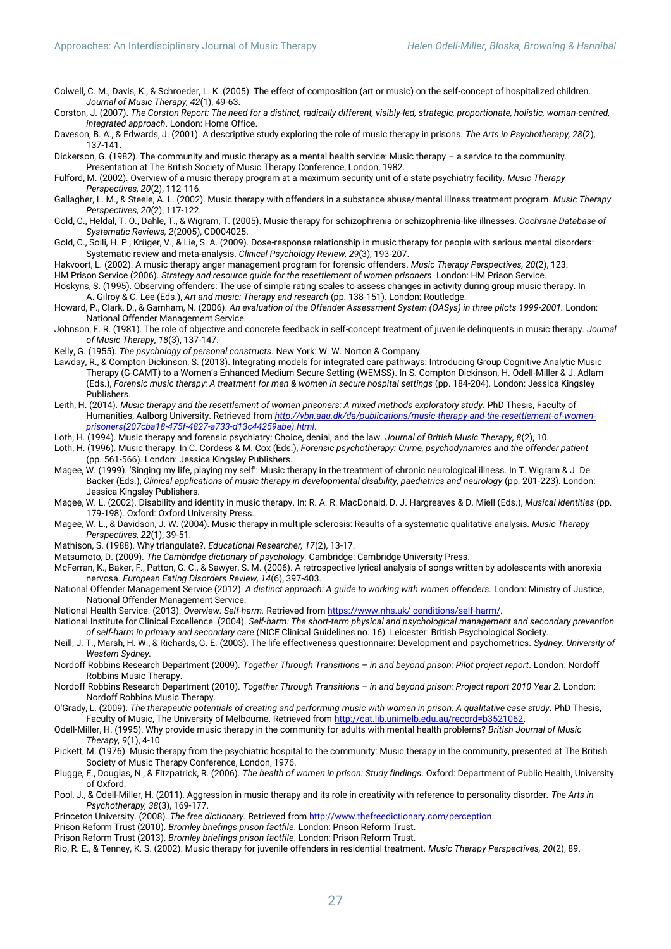Colwell, C. M., Davis, K., & Schroeder, L. K. (2005). The effect of composition (art or music) on the self-concept of hospitalized children. *Journal of Music Therapy, 42*(1), 49-63.

Corston, J. (2007). *The Corston Report: The need for a distinct, radically different, visibly-led, strategic, proportionate, holistic, woman-centred, integrated approach*. London: Home Office.

Daveson, B. A., & Edwards, J. (2001). A descriptive study exploring the role of music therapy in prisons. *The Arts in Psychotherapy, 28*(2), 137-141.

Dickerson, G. (1982). The community and music therapy as a mental health service: Music therapy – a service to the community. Presentation at The British Society of Music Therapy Conference, London, 1982.

Fulford, M. (2002). Overview of a music therapy program at a maximum security unit of a state psychiatry facility. *Music Therapy Perspectives, 20*(2), 112-116.

Gallagher, L. M., & Steele, A. L. (2002). Music therapy with offenders in a substance abuse/mental illness treatment program. *Music Therapy Perspectives, 20*(2), 117-122.

- Gold, C., Heldal, T. O., Dahle, T., & Wigram, T. (2005). Music therapy for schizophrenia or schizophrenia-like illnesses. *Cochrane Database of Systematic Reviews, 2*(2005), CD004025.
- Gold, C., Solli, H. P., Krüger, V., & Lie, S. A. (2009). Dose-response relationship in music therapy for people with serious mental disorders: Systematic review and meta-analysis. *Clinical Psychology Review, 29*(3), 193-207.
- Hakvoort, L. (2002). A music therapy anger management program for forensic offenders. *Music Therapy Perspectives, 20*(2), 123.
- HM Prison Service (2006). *Strategy and resource guide for the resettlement of women prisoners*. London: HM Prison Service. Hoskyns, S. (1995). Observing offenders: The use of simple rating scales to assess changes in activity during group music therapy. In A. Gilroy & C. Lee (Eds.), *Art and music: Therapy and research* (pp. 138-151). London: Routledge.
- Howard, P., Clark, D., & Garnham, N. (2006). *An evaluation of the Offender Assessment System (OASys) in three pilots 1999-2001.* London: National Offender Management Service*.*
- Johnson, E. R. (1981). The role of objective and concrete feedback in self-concept treatment of juvenile delinquents in music therapy. *Journal of Music Therapy, 18*(3), 137-147.

Kelly, G. (1955). *The psychology of personal constructs.* New York: W. W. Norton & Company.

- Lawday, R., & Compton Dickinson, S. (2013). Integrating models for integrated care pathways: Introducing Group Cognitive Analytic Music Therapy (G-CAMT) to a Women's Enhanced Medium Secure Setting (WEMSS). In S. Compton Dickinson, H. Odell-Miller & J. Adlam (Eds.), *Forensic music therapy: A treatment for men & women in secure hospital settings* (pp. 184-204)*.* London: Jessica Kingsley **Publishers**
- Leith, H. (2014). *Music therapy and the resettlement of women prisoners: A mixed methods exploratory study.* PhD Thesis, Faculty of Humanities, Aalborg University. Retrieved from *[http://vbn.aau.dk/da/publications/music-therapy-and-the-resettlement-of-women](http://vbn.aau.dk/da/publications/music-therapy-and-the-resettlement-of-women-prison%20ers(207cba18-475f-4827-a733-d13c44259abe).html)[prisoners\(207cba18-475f-4827-a733-d13c44259abe\).html](http://vbn.aau.dk/da/publications/music-therapy-and-the-resettlement-of-women-prison%20ers(207cba18-475f-4827-a733-d13c44259abe).html)*.
- Loth, H. (1994). Music therapy and forensic psychiatry: Choice, denial, and the law. *Journal of British Music Therapy, 8*(2), 10.
- Loth, H. (1996). Music therapy. In C. Cordess & M. Cox (Eds.), *Forensic psychotherapy: Crime, psychodynamics and the offender patient* (pp. 561-566). London: Jessica Kingsley Publishers.
- Magee, W. (1999). 'Singing my life, playing my self': Music therapy in the treatment of chronic neurological illness. In T. Wigram & J. De Backer (Eds.), *Clinical applications of music therapy in developmental disability, paediatrics and neurology* (pp. 201-223). London: Jessica Kingsley Publishers.
- Magee, W. L. (2002). Disability and identity in music therapy. In: R. A. R. MacDonald, D. J. Hargreaves & D. Miell (Eds.), *Musical identities* (pp. 179-198). Oxford: Oxford University Press.
- Magee, W. L., & Davidson, J. W. (2004). Music therapy in multiple sclerosis: Results of a systematic qualitative analysis. *Music Therapy Perspectives, 22*(1), 39-51.
- Mathison, S. (1988). Why triangulate?. *Educational Researcher, 17*(2), 13-17.
- Matsumoto, D. (2009). *The Cambridge dictionary of psychology.* Cambridge: Cambridge University Press.
- McFerran, K., Baker, F., Patton, G. C., & Sawyer, S. M. (2006). A retrospective lyrical analysis of songs written by adolescents with anorexia nervosa. *European Eating Disorders Review, 14*(6), 397-403.
- National Offender Management Service (2012). *A distinct approach: A guide to working with women offenders.* London: Ministry of Justice, National Offender Management Service.

National Health Service. (2013). *Overview: Self-harm.* Retrieved fro[m https://www.nhs.uk/ conditions/self-harm/.](https://www.nhs.uk/%20conditions/self-harm/)

National Institute for Clinical Excellence. (2004). *Self-harm: The short-term physical and psychological management and secondary prevention of self-harm in primary and secondary care* (NICE Clinical Guidelines no. 16)*.* Leicester: British Psychological Society.

Neill, J. T., Marsh, H. W., & Richards, G. E. (2003). The life effectiveness questionnaire: Development and psychometrics. *Sydney: University of Western Sydney.*

- Nordoff Robbins Research Department (2009). *Together Through Transitions – in and beyond prison: Pilot project report*. London: Nordoff Robbins Music Therapy.
- Nordoff Robbins Research Department (2010). *Together Through Transitions – in and beyond prison: Project report 2010 Year 2.* London: Nordoff Robbins Music Therapy.
- O'Grady, L. (2009). *The therapeutic potentials of creating and performing music with women in prison: A qualitative case study*. PhD Thesis, Faculty of Music, The University of Melbourne. Retrieved fro[m http://cat.lib.unimelb.edu.au/record=b3521062.](http://cat.lib.unimelb.edu.au/record=b3521062)
- Odell-Miller, H. (1995). Why provide music therapy in the community for adults with mental health problems? *British Journal of Music Therapy, 9*(1), 4-10.
- Pickett, M. (1976). Music therapy from the psychiatric hospital to the community: Music therapy in the community, presented at The British Society of Music Therapy Conference, London, 1976.
- Plugge, E., Douglas, N., & Fitzpatrick, R. (2006). *The health of women in prison: Study findings*. Oxford: Department of Public Health, University of Oxford.
- Pool, J., & Odell-Miller, H. (2011). Aggression in music therapy and its role in creativity with reference to personality disorder. *The Arts in Psychotherapy, 38*(3), 169-177.
- Princeton University. (2008). *The free dictionary.* Retrieved fro[m http://www.thefreedictionary.com/perception.](http://www.thefreedictionary.com/perception)
- Prison Reform Trust (2010). *Bromley briefings prison factfile*. London: Prison Reform Trust.
- Prison Reform Trust (2013). *Bromley briefings prison factfile*. London: Prison Reform Trust.

Rio, R. E., & Tenney, K. S. (2002). Music therapy for juvenile offenders in residential treatment. *Music Therapy Perspectives, 20*(2), 89.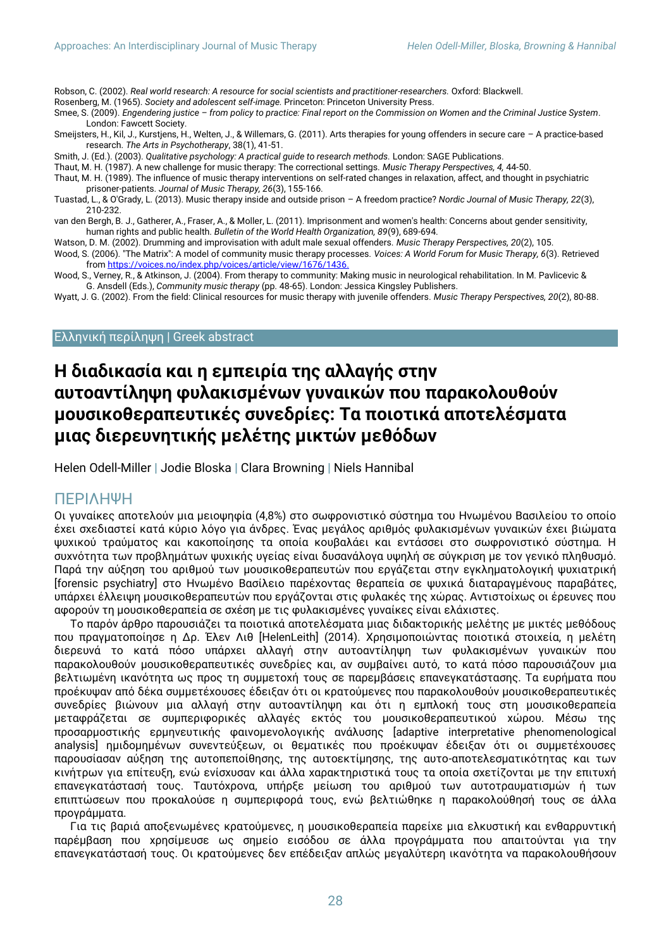Robson, C. (2002). *Real world research: A resource for social scientists and practitioner-researchers.* Oxford: Blackwell.

Rosenberg, M. (1965). *Society and adolescent self-image.* Princeton: Princeton University Press.

- Smee, S. (2009). *Engendering justice – from policy to practice: Final report on the Commission on Women and the Criminal Justice System*. London: Fawcett Society.
- Smeijsters, H., Kil, J., Kurstjens, H., Welten, J., & Willemars, G. (2011). Arts therapies for young offenders in secure care A practice-based research. *The Arts in Psychotherapy*, 38(1), 41-51.
- Smith, J. (Ed.). (2003). *Qualitative psychology: A practical guide to research methods.* London: SAGE Publications.
- Thaut, M. H. (1987). A new challenge for music therapy: The correctional settings. *Music Therapy Perspectives, 4,* 44-50. Thaut, M. H. (1989). The influence of music therapy interventions on self-rated changes in relaxation, affect, and thought in psychiatric

prisoner-patients. *Journal of Music Therapy, 26*(3), 155-166.

- Tuastad, L., & O'Grady, L. (2013). Music therapy inside and outside prison A freedom practice? *Nordic Journal of Music Therapy, 22*(3), 210-232.
- van den Bergh, B. J., Gatherer, A., Fraser, A., & Moller, L. (2011). Imprisonment and women's health: Concerns about gender sensitivity, human rights and public health. *Bulletin of the World Health Organization, 89*(9), 689-694.
- Watson, D. M. (2002). Drumming and improvisation with adult male sexual offenders. *Music Therapy Perspectives, 20*(2), 105.
- Wood, S. (2006). "The Matrix": A model of community music therapy processes. *Voices: A World Forum for Music Therapy, 6*(3). Retrieved fro[m https://voices.no/index.php/voices/article/view/1676/1436.](https://voices.no/index.php/voices/article/view/1676/1436)
- Wood, S., Verney, R., & Atkinson, J. (2004). From therapy to community: Making music in neurological rehabilitation. In M. Pavlicevic & G. Ansdell (Eds.), *Community music therapy* (pp. 48-65). London: Jessica Kingsley Publishers.
- Wyatt, J. G. (2002). From the field: Clinical resources for music therapy with juvenile offenders. *Music Therapy Perspectives, 20*(2), 80-88.

#### Ελληνική περίληψη | Greek abstract

# **Η διαδικασία και η εμπειρία της αλλαγής στην αυτοαντίληψη φυλακισμένων γυναικών που παρακολουθούν μουσικοθεραπευτικές συνεδρίες: Τα ποιοτικά αποτελέσματα μιας διερευνητικής μελέτης μικτών μεθόδων**

Helen Odell-Miller **|** Jodie Bloska **|** Clara Browning **|** Niels Hannibal

#### ΠΕΡΙΛΗΨΗ

Οι γυναίκες αποτελούν μια μειοψηφία (4,8%) στο σωφρονιστικό σύστημα του Ηνωμένου Βασιλείου το οποίο έχει σχεδιαστεί κατά κύριο λόγο για άνδρες. Ένας μεγάλος αριθμός φυλακισμένων γυναικών έχει βιώματα ψυχικού τραύματος και κακοποίησης τα οποία κουβαλάει και εντάσσει στο σωφρονιστικό σύστημα. Η συχνότητα των προβλημάτων ψυχικής υγείας είναι δυσανάλογα υψηλή σε σύγκριση με τον γενικό πληθυσμό. Παρά την αύξηση του αριθμού των μουσικοθεραπευτών που εργάζεται στην εγκληματολογική ψυχιατρική [forensic psychiatry] στο Ηνωμένο Βασίλειο παρέχοντας θεραπεία σε ψυχικά διαταραγμένους παραβάτες, υπάρχει έλλειψη μουσικοθεραπευτών που εργάζονται στις φυλακές της χώρας. Αντιστοίχως οι έρευνες που αφορούν τη μουσικοθεραπεία σε σχέση με τις φυλακισμένες γυναίκες είναι ελάχιστες.

Το παρόν άρθρο παρουσιάζει τα ποιοτικά αποτελέσματα μιας διδακτορικής μελέτης με μικτές μεθόδους που πραγματοποίησε η Δρ. Έλεν Λιθ [HelenLeith] (2014). Χρησιμοποιώντας ποιοτικά στοιχεία, η μελέτη διερευνά το κατά πόσο υπάρχει αλλαγή στην αυτοαντίληψη των φυλακισμένων γυναικών που παρακολουθούν μουσικοθεραπευτικές συνεδρίες και, αν συμβαίνει αυτό, το κατά πόσο παρουσιάζουν μια βελτιωμένη ικανότητα ως προς τη συμμετοχή τους σε παρεμβάσεις επανεγκατάστασης. Τα ευρήματα που προέκυψαν από δέκα συμμετέχουσες έδειξαν ότι οι κρατούμενες που παρακολουθούν μουσικοθεραπευτικές συνεδρίες βιώνουν μια αλλαγή στην αυτοαντίληψη και ότι η εμπλοκή τους στη μουσικοθεραπεία μεταφράζεται σε συμπεριφορικές αλλαγές εκτός του μουσικοθεραπευτικού χώρου. Μέσω της προσαρμοστικής ερμηνευτικής φαινομενολογικής ανάλυσης [adaptive interpretative phenomenological analysis] ημιδομημένων συνεντεύξεων, οι θεματικές που προέκυψαν έδειξαν ότι οι συμμετέχουσες παρουσίασαν αύξηση της αυτοπεποίθησης, της αυτοεκτίμησης, της αυτο-αποτελεσματικότητας και των κινήτρων για επίτευξη, ενώ ενίσχυσαν και άλλα χαρακτηριστικά τους τα οποία σχετίζονται με την επιτυχή επανεγκατάστασή τους. Ταυτόχρονα, υπήρξε μείωση του αριθμού των αυτοτραυματισμών ή των επιπτώσεων που προκαλούσε η συμπεριφορά τους, ενώ βελτιώθηκε η παρακολούθησή τους σε άλλα προγράμματα.

Για τις βαριά αποξενωμένες κρατούμενες, η μουσικοθεραπεία παρείχε μια ελκυστική και ενθαρρυντική παρέμβαση που χρησίμευσε ως σημείο εισόδου σε άλλα προγράμματα που απαιτούνται για την επανεγκατάστασή τους. Οι κρατούμενες δεν επέδειξαν απλώς μεγαλύτερη ικανότητα να παρακολουθήσουν